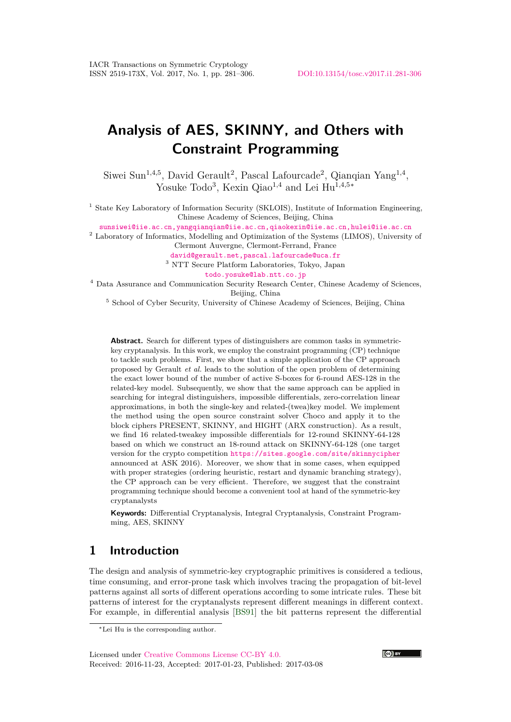# **Analysis of AES, SKINNY, and Others with Constraint Programming**

Siwei Sun<sup>1,4,5</sup>, David Gerault<sup>2</sup>, Pascal Lafourcade<sup>2</sup>, Qianqian Yang<sup>1,4</sup>, Yosuke Todo<sup>3</sup>, Kexin Qiao<sup>1,4</sup> and Lei Hu<sup>1,4,5∗</sup>

<sup>1</sup> State Key Laboratory of Information Security (SKLOIS), Institute of Information Engineering, Chinese Academy of Sciences, Beijing, China

[sunsiwei@iie.ac.cn,yangqianqian@iie.ac.cn,qiaokexin@iie.ac.cn,hulei@iie.ac.cn](mailto:sunsiwei@iie.ac.cn, yangqianqian@iie.ac.cn, qiaokexin@iie.ac.cn, hulei@iie.ac.cn)

<sup>2</sup> Laboratory of Informatics, Modelling and Optimization of the Systems (LIMOS), University of Clermont Auvergne, Clermont-Ferrand, France

[david@gerault.net,pascal.lafourcade@uca.fr](mailto:david@gerault.net, pascal.lafourcade@uca.fr) <sup>3</sup> NTT Secure Platform Laboratories, Tokyo, Japan

[todo.yosuke@lab.ntt.co.jp](mailto:todo.yosuke@lab.ntt.co.jp)

<sup>4</sup> Data Assurance and Communication Security Research Center, Chinese Academy of Sciences, Beijing, China

<sup>5</sup> School of Cyber Security, University of Chinese Academy of Sciences, Beijing, China

**Abstract.** Search for different types of distinguishers are common tasks in symmetrickey cryptanalysis. In this work, we employ the constraint programming (CP) technique to tackle such problems. First, we show that a simple application of the CP approach proposed by Gerault *et al.* leads to the solution of the open problem of determining the exact lower bound of the number of active S-boxes for 6-round AES-128 in the related-key model. Subsequently, we show that the same approach can be applied in searching for integral distinguishers, impossible differentials, zero-correlation linear approximations, in both the single-key and related-(twea)key model. We implement the method using the open source constraint solver Choco and apply it to the block ciphers PRESENT, SKINNY, and HIGHT (ARX construction). As a result, we find 16 related-tweakey impossible differentials for 12-round SKINNY-64-128 based on which we construct an 18-round attack on SKINNY-64-128 (one target version for the crypto competition <https://sites.google.com/site/skinnycipher> announced at ASK 2016). Moreover, we show that in some cases, when equipped with proper strategies (ordering heuristic, restart and dynamic branching strategy), the CP approach can be very efficient. Therefore, we suggest that the constraint programming technique should become a convenient tool at hand of the symmetric-key cryptanalysts

**Keywords:** Differential Cryptanalysis, Integral Cryptanalysis, Constraint Programming, AES, SKINNY

## **1 Introduction**

The design and analysis of symmetric-key cryptographic primitives is considered a tedious, time consuming, and error-prone task which involves tracing the propagation of bit-level patterns against all sorts of different operations according to some intricate rules. These bit patterns of interest for the cryptanalysts represent different meanings in different context. For example, in differential analysis [\[BS91\]](#page-17-0) the bit patterns represent the differential



<sup>∗</sup>Lei Hu is the corresponding author.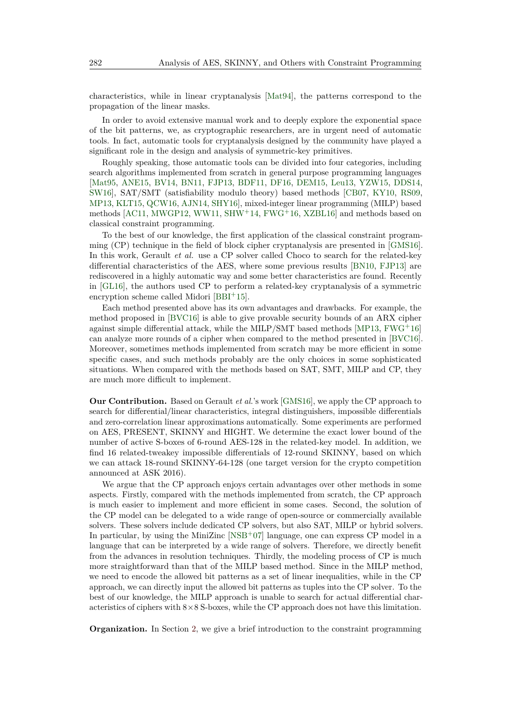characteristics, while in linear cryptanalysis [\[Mat94\]](#page-19-0), the patterns correspond to the propagation of the linear masks.

In order to avoid extensive manual work and to deeply explore the exponential space of the bit patterns, we, as cryptographic researchers, are in urgent need of automatic tools. In fact, automatic tools for cryptanalysis designed by the community have played a significant role in the design and analysis of symmetric-key primitives.

Roughly speaking, those automatic tools can be divided into four categories, including search algorithms implemented from scratch in general purpose programming languages [\[Mat95,](#page-19-1) [ANE15,](#page-16-0) [BV14,](#page-17-1) [BN11,](#page-17-2) [FJP13,](#page-18-0) [BDF11,](#page-16-1) [DF16,](#page-18-1) [DEM15,](#page-17-3) [Leu13,](#page-19-2) [YZW15,](#page-21-0) [DDS14,](#page-17-4) [SW16\]](#page-20-0), SAT/SMT (satisfiability modulo theory) based methods [\[CB07,](#page-17-5) [KY10,](#page-19-3) [RS09,](#page-20-1) [MP13,](#page-19-4) [KLT15,](#page-19-5) [QCW16,](#page-20-2) [AJN14,](#page-16-2) [SHY16\]](#page-20-3), mixed-integer linear programming (MILP) based methods [\[AC11,](#page-16-3) [MWGP12,](#page-19-6) [WW11,](#page-21-1) [SHW](#page-20-4)<sup>+</sup>14, [FWG](#page-18-2)<sup>+</sup>16, [XZBL16\]](#page-21-2) and methods based on classical constraint programming.

To the best of our knowledge, the first application of the classical constraint programming (CP) technique in the field of block cipher cryptanalysis are presented in [\[GMS16\]](#page-18-3). In this work, Gerault *et al.* use a CP solver called Choco to search for the related-key differential characteristics of the AES, where some previous results [\[BN10,](#page-17-6) [FJP13\]](#page-18-0) are rediscovered in a highly automatic way and some better characteristics are found. Recently in [\[GL16\]](#page-18-4), the authors used CP to perform a related-key cryptanalysis of a symmetric encryption scheme called Midori [\[BBI](#page-16-4)+15].

Each method presented above has its own advantages and drawbacks. For example, the method proposed in [\[BVC16\]](#page-17-7) is able to give provable security bounds of an ARX cipher against simple differential attack, while the MILP/SMT based methods [\[MP13,](#page-19-4)  $FWG<sup>+</sup>16$  $FWG<sup>+</sup>16$ ] can analyze more rounds of a cipher when compared to the method presented in [\[BVC16\]](#page-17-7). Moreover, sometimes methods implemented from scratch may be more efficient in some specific cases, and such methods probably are the only choices in some sophisticated situations. When compared with the methods based on SAT, SMT, MILP and CP, they are much more difficult to implement.

**Our Contribution.** Based on Gerault *et al.*'s work [\[GMS16\]](#page-18-3), we apply the CP approach to search for differential/linear characteristics, integral distinguishers, impossible differentials and zero-correlation linear approximations automatically. Some experiments are performed on AES, PRESENT, SKINNY and HIGHT. We determine the exact lower bound of the number of active S-boxes of 6-round AES-128 in the related-key model. In addition, we find 16 related-tweakey impossible differentials of 12-round SKINNY, based on which we can attack 18-round SKINNY-64-128 (one target version for the crypto competition announced at ASK 2016).

We argue that the CP approach enjoys certain advantages over other methods in some aspects. Firstly, compared with the methods implemented from scratch, the CP approach is much easier to implement and more efficient in some cases. Second, the solution of the CP model can be delegated to a wide range of open-source or commercially available solvers. These solvers include dedicated CP solvers, but also SAT, MILP or hybrid solvers. In particular, by using the MiniZinc [\[NSB](#page-19-7)<sup>+</sup>07] language, one can express CP model in a language that can be interpreted by a wide range of solvers. Therefore, we directly benefit from the advances in resolution techniques. Thirdly, the modeling process of CP is much more straightforward than that of the MILP based method. Since in the MILP method, we need to encode the allowed bit patterns as a set of linear inequalities, while in the CP approach, we can directly input the allowed bit patterns as tuples into the CP solver. To the best of our knowledge, the MILP approach is unable to search for actual differential characteristics of ciphers with  $8\times 8$  S-boxes, while the CP approach does not have this limitation.

**Organization.** In Section [2,](#page-2-0) we give a brief introduction to the constraint programming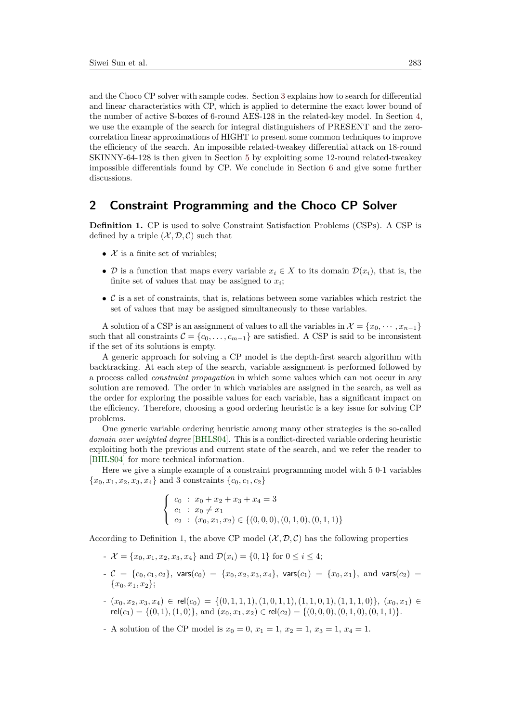and the Choco CP solver with sample codes. Section [3](#page-3-0) explains how to search for differential and linear characteristics with CP, which is applied to determine the exact lower bound of the number of active S-boxes of 6-round AES-128 in the related-key model. In Section [4,](#page-6-0) we use the example of the search for integral distinguishers of PRESENT and the zerocorrelation linear approximations of HIGHT to present some common techniques to improve the efficiency of the search. An impossible related-tweakey differential attack on 18-round SKINNY-64-128 is then given in Section [5](#page-10-0) by exploiting some 12-round related-tweakey impossible differentials found by CP. We conclude in Section [6](#page-15-0) and give some further discussions.

# <span id="page-2-0"></span>**2 Constraint Programming and the Choco CP Solver**

**Definition 1.** CP is used to solve Constraint Satisfaction Problems (CSPs). A CSP is defined by a triple  $(\mathcal{X}, \mathcal{D}, \mathcal{C})$  such that

- $\mathcal X$  is a finite set of variables:
- D is a function that maps every variable  $x_i \in X$  to its domain  $\mathcal{D}(x_i)$ , that is, the finite set of values that may be assigned to  $x_i$ ;
- $\bullet$  C is a set of constraints, that is, relations between some variables which restrict the set of values that may be assigned simultaneously to these variables.

A solution of a CSP is an assignment of values to all the variables in  $\mathcal{X} = \{x_0, \dots, x_{n-1}\}\$ such that all constraints  $\mathcal{C} = \{c_0, \ldots, c_{m-1}\}\$  are satisfied. A CSP is said to be inconsistent if the set of its solutions is empty.

A generic approach for solving a CP model is the depth-first search algorithm with backtracking. At each step of the search, variable assignment is performed followed by a process called *constraint propagation* in which some values which can not occur in any solution are removed. The order in which variables are assigned in the search, as well as the order for exploring the possible values for each variable, has a significant impact on the efficiency. Therefore, choosing a good ordering heuristic is a key issue for solving CP problems.

One generic variable ordering heuristic among many other strategies is the so-called *domain over weighted degree* [\[BHLS04\]](#page-16-5). This is a conflict-directed variable ordering heuristic exploiting both the previous and current state of the search, and we refer the reader to [\[BHLS04\]](#page-16-5) for more technical information.

Here we give a simple example of a constraint programming model with 5 0-1 variables  ${x_0, x_1, x_2, x_3, x_4}$  and 3 constraints  ${c_0, c_1, c_2}$ 

$$
\begin{cases}\nc_0: x_0 + x_2 + x_3 + x_4 = 3 \\
c_1: x_0 \neq x_1 \\
c_2: (x_0, x_1, x_2) \in \{(0, 0, 0), (0, 1, 0), (0, 1, 1)\}\n\end{cases}
$$

According to Definition 1, the above CP model  $(\mathcal{X}, \mathcal{D}, \mathcal{C})$  has the following properties

- $\mathcal{X} = \{x_0, x_1, x_2, x_3, x_4\}$  and  $\mathcal{D}(x_i) = \{0, 1\}$  for  $0 \le i \le 4$ ;
- $-c = \{c_0, c_1, c_2\}$ , vars $(c_0) = \{x_0, x_2, x_3, x_4\}$ , vars $(c_1) = \{x_0, x_1\}$ , and vars $(c_2)$  ${x_0, x_1, x_2};$
- $(x_0, x_2, x_3, x_4) \in rel(c_0) = \{(0, 1, 1, 1), (1, 0, 1, 1), (1, 1, 0, 1), (1, 1, 1, 0)\}, (x_0, x_1) \in$  $rel(c_1) = \{(0,1), (1,0)\},$  and  $(x_0, x_1, x_2) \in rel(c_2) = \{(0,0,0), (0,1,0), (0,1,1)\}.$
- A solution of the CP model is  $x_0 = 0, x_1 = 1, x_2 = 1, x_3 = 1, x_4 = 1$ .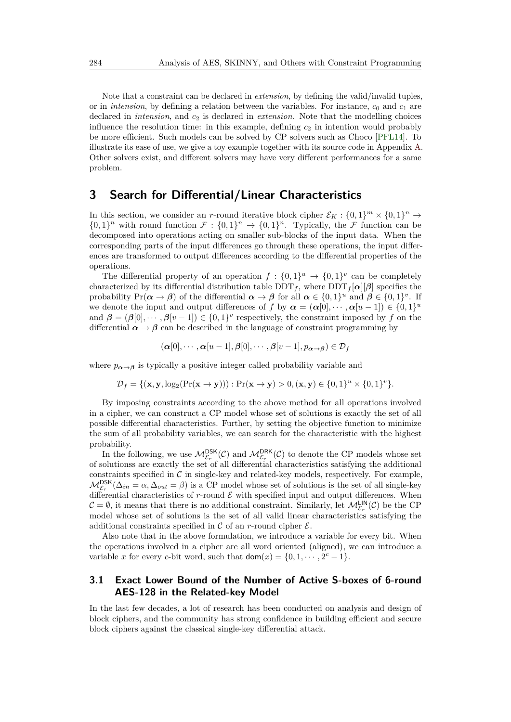Note that a constraint can be declared in *extension*, by defining the valid/invalid tuples, or in *intension*, by defining a relation between the variables. For instance, *c*<sup>0</sup> and *c*<sup>1</sup> are declared in *intension*, and *c*<sup>2</sup> is declared in *extension*. Note that the modelling choices influence the resolution time: in this example, defining  $c_2$  in intention would probably be more efficient. Such models can be solved by CP solvers such as Choco [\[PFL14\]](#page-19-8). To illustrate its ease of use, we give a toy example together with its source code in Appendix [A.](#page-22-0) Other solvers exist, and different solvers may have very different performances for a same problem.

# <span id="page-3-0"></span>**3 Search for Differential/Linear Characteristics**

In this section, we consider an *r*-round iterative block cipher  $\mathcal{E}_K$ :  $\{0,1\}^m \times \{0,1\}^n \to$  $\{0,1\}^n$  with round function  $\mathcal{F}: \{0,1\}^n \to \{0,1\}^n$ . Typically, the  $\mathcal{F}$  function can be decomposed into operations acting on smaller sub-blocks of the input data. When the corresponding parts of the input differences go through these operations, the input differences are transformed to output differences according to the differential properties of the operations.

The differential property of an operation  $f: \{0,1\}^u \to \{0,1\}^v$  can be completely characterized by its differential distribution table  $DDT_f$ , where  $DDT_f[\alpha][\beta]$  specifies the probability  $Pr(\boldsymbol{\alpha} \to \boldsymbol{\beta})$  of the differential  $\boldsymbol{\alpha} \to \boldsymbol{\beta}$  for all  $\boldsymbol{\alpha} \in \{0,1\}^u$  and  $\boldsymbol{\beta} \in \{0,1\}^v$ . If we denote the input and output differences of *f* by  $\alpha = (\alpha[0], \dots, \alpha[u-1]) \in \{0,1\}^u$ and  $\beta = (\beta[0], \dots, \beta[v-1]) \in \{0,1\}^v$  respectively, the constraint imposed by f on the differential  $\alpha \to \beta$  can be described in the language of constraint programming by

$$
(\boldsymbol{\alpha}[0], \cdots, \boldsymbol{\alpha}[u-1], \boldsymbol{\beta}[0], \cdots, \boldsymbol{\beta}[v-1], p_{\boldsymbol{\alpha} \to \boldsymbol{\beta}}) \in \mathcal{D}_f
$$

where  $p_{\alpha \to \beta}$  is typically a positive integer called probability variable and

 $\mathcal{D}_f = \{(\mathbf{x}, \mathbf{y}, \log_2(\Pr(\mathbf{x} \to \mathbf{y}))) : \Pr(\mathbf{x} \to \mathbf{y}) > 0, (\mathbf{x}, \mathbf{y}) \in \{0, 1\}^u \times \{0, 1\}^v\}.$ 

By imposing constraints according to the above method for all operations involved in a cipher, we can construct a CP model whose set of solutions is exactly the set of all possible differential characteristics. Further, by setting the objective function to minimize the sum of all probability variables, we can search for the characteristic with the highest probability.

In the following, we use  $M_{\mathcal{E}_r}^{\text{DSK}}(\mathcal{C})$  and  $M_{\mathcal{E}_r}^{\text{DRK}}(\mathcal{C})$  to denote the CP models whose set of solutionss are exactly the set of all differential characteristics satisfying the additional constraints specified in  $\mathcal C$  in single-key and related-key models, respectively. For example,  $M_{\mathcal{E}_r}^{\text{DSK}}(\Delta_{in} = \alpha, \Delta_{out} = \beta)$  is a CP model whose set of solutions is the set of all single-key differential characteristics of *r*-round  $\mathcal E$  with specified input and output differences. When  $C = \emptyset$ , it means that there is no additional constraint. Similarly, let  $\mathcal{M}_{\mathcal{E}_r}^{\mathsf{LIN}}(\mathcal{C})$  be the CP model whose set of solutions is the set of all valid linear characteristics satisfying the additional constraints specified in  $\mathcal C$  of an *r*-round cipher  $\mathcal E$ .

Also note that in the above formulation, we introduce a variable for every bit. When the operations involved in a cipher are all word oriented (aligned), we can introduce a variable *x* for every *c*-bit word, such that  $\text{dom}(x) = \{0, 1, \dots, 2^c - 1\}.$ 

### **3.1 Exact Lower Bound of the Number of Active S-boxes of 6-round AES-128 in the Related-key Model**

In the last few decades, a lot of research has been conducted on analysis and design of block ciphers, and the community has strong confidence in building efficient and secure block ciphers against the classical single-key differential attack.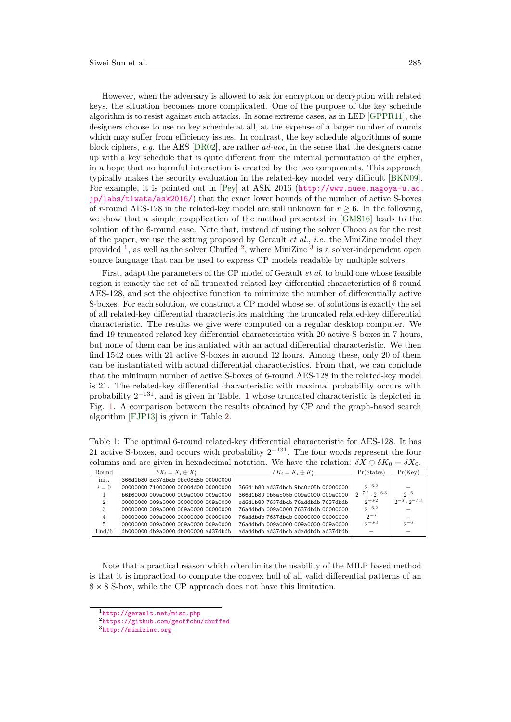However, when the adversary is allowed to ask for encryption or decryption with related keys, the situation becomes more complicated. One of the purpose of the key schedule algorithm is to resist against such attacks. In some extreme cases, as in LED [\[GPPR11\]](#page-18-5), the designers choose to use no key schedule at all, at the expense of a larger number of rounds which may suffer from efficiency issues. In contrast, the key schedule algorithms of some block ciphers, *e.g.* the AES [\[DR02\]](#page-18-6), are rather *ad-hoc*, in the sense that the designers came up with a key schedule that is quite different from the internal permutation of the cipher, in a hope that no harmful interaction is created by the two components. This approach typically makes the security evaluation in the related-key model very difficult [\[BKN09\]](#page-17-8). For example, it is pointed out in [\[Pey\]](#page-19-9) at ASK 2016 ([http://www.nuee.nagoya-u.ac.](http://www.nuee.nagoya-u.ac.jp/labs/tiwata/ask2016/) [jp/labs/tiwata/ask2016/](http://www.nuee.nagoya-u.ac.jp/labs/tiwata/ask2016/)) that the exact lower bounds of the number of active S-boxes of *r*-round AES-128 in the related-key model are still unknown for  $r \geq 6$ . In the following, we show that a simple reapplication of the method presented in [\[GMS16\]](#page-18-3) leads to the solution of the 6-round case. Note that, instead of using the solver Choco as for the rest of the paper, we use the setting proposed by Gerault *et al.*, *i.e.* the MiniZinc model they provided <sup>[1](#page-4-0)</sup>, as well as the solver Chuffed <sup>[2](#page-4-1)</sup>, where MiniZinc <sup>[3](#page-4-2)</sup> is a solver-independent open source language that can be used to express CP models readable by multiple solvers.

First, adapt the parameters of the CP model of Gerault *et al.* to build one whose feasible region is exactly the set of all truncated related-key differential characteristics of 6-round AES-128, and set the objective function to minimize the number of differentially active S-boxes. For each solution, we construct a CP model whose set of solutions is exactly the set of all related-key differential characteristics matching the truncated related-key differential characteristic. The results we give were computed on a regular desktop computer. We find 19 truncated related-key differential characteristics with 20 active S-boxes in 7 hours, but none of them can be instantiated with an actual differential characteristic. We then find 1542 ones with 21 active S-boxes in around 12 hours. Among these, only 20 of them can be instantiated with actual differential characteristics. From that, we can conclude that the minimum number of active S-boxes of 6-round AES-128 in the related-key model is 21. The related-key differential characteristic with maximal probability occurs with probability  $2^{-131}$  $2^{-131}$  $2^{-131}$ , and is given in Table. 1 whose truncated characteristic is depicted in Fig. [1.](#page-5-0) A comparison between the results obtained by CP and the graph-based search algorithm [\[FJP13\]](#page-18-0) is given in Table [2.](#page-5-1)

<span id="page-4-3"></span>Table 1: The optimal 6-round related-key differential characteristic for AES-128. It has 21 active S-boxes, and occurs with probability  $2^{-131}$ . The four words represent the four columns and are given in hexadecimal notation. We have the relation:  $\delta X \oplus \delta K_0 = \delta X_0$ .

| Round | $\delta X_i = X_i \oplus X'_i$      | $\delta K_i = K_i \oplus K'_i$      | Pr(States)                | Pr(Kev)                 |
|-------|-------------------------------------|-------------------------------------|---------------------------|-------------------------|
| init. | 366d1b80 dc37dbdb 9bc08d5b 00000000 |                                     |                           |                         |
| $i=0$ | 00000000 71000000 00004d00 00000000 | 366d1b80 ad37dbdb 9bc0c05b 00000000 | $2^{-6.2}$                |                         |
|       | b6f60000 009a0000 009a0000 009a0000 | 366d1b80 9b5ac05b 009a0000 009a0000 | $2^{-7.2} \cdot 2^{-6.3}$ | $2-6$                   |
|       | 00000000 009a0000 00000000 009a0000 | ed6d1b80 7637dbdb 76addbdb 7637dbdb | $2^{-6.2}$                | $2^{-6} \cdot 2^{-7.3}$ |
|       | 00000000 009a0000 009a0000 00000000 | 76addbdb 009a0000 7637dbdb 00000000 | $2^{-6.2}$                |                         |
|       | 00000000 009a0000 00000000 00000000 | 76addbdb 7637dbdb 00000000 00000000 | $2^{-6}$                  |                         |
|       | 00000000 009a0000 009a0000 009a0000 | 76addbdb 009a0000 009a0000 009a0000 | $2 - 6.3$                 | $2^{-6}$                |
| End/6 | db000000 db9a0000 db000000 ad37dbdb | adaddbdb ad37dbdb adaddbdb ad37dbdb |                           |                         |

Note that a practical reason which often limits the usability of the MILP based method is that it is impractical to compute the convex hull of all valid differential patterns of an  $8 \times 8$  S-box, while the CP approach does not have this limitation.

<span id="page-4-0"></span><sup>1</sup><http://gerault.net/misc.php>

<span id="page-4-1"></span><sup>2</sup><https://github.com/geoffchu/chuffed>

<span id="page-4-2"></span><sup>3</sup><http://minizinc.org>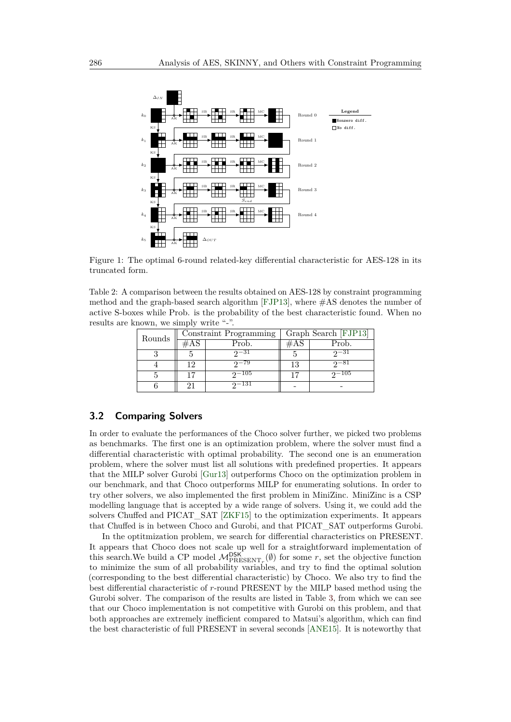<span id="page-5-0"></span>

Figure 1: The optimal 6-round related-key differential characteristic for AES-128 in its truncated form.

<span id="page-5-1"></span>Table 2: A comparison between the results obtained on AES-128 by constraint programming method and the graph-based search algorithm [\[FJP13\]](#page-18-0), where #AS denotes the number of active S-boxes while Prob. is the probability of the best characteristic found. When no results are known, we simply write "-".

| Rounds |        | Constraint Programming |     | Graph Search [FJP13] |  |  |
|--------|--------|------------------------|-----|----------------------|--|--|
|        | $\#AS$ | Prob.                  | #AS | Prob.                |  |  |
|        |        | $2^{\sim}31$           |     | $2^{-31}$            |  |  |
|        | 19     | $2 - 79$               | 13  | $2^{-81}$            |  |  |
|        |        | $2-105$                | 17  | $2 - 105$            |  |  |
|        | 91     | $2 - 131$              |     |                      |  |  |

### **3.2 Comparing Solvers**

In order to evaluate the performances of the Choco solver further, we picked two problems as benchmarks. The first one is an optimization problem, where the solver must find a differential characteristic with optimal probability. The second one is an enumeration problem, where the solver must list all solutions with predefined properties. It appears that the MILP solver Gurobi [\[Gur13\]](#page-18-7) outperforms Choco on the optimization problem in our benchmark, and that Choco outperforms MILP for enumerating solutions. In order to try other solvers, we also implemented the first problem in MiniZinc. MiniZinc is a CSP modelling language that is accepted by a wide range of solvers. Using it, we could add the solvers Chuffed and PICAT\_SAT [\[ZKF15\]](#page-21-3) to the optimization experiments. It appears that Chuffed is in between Choco and Gurobi, and that PICAT\_SAT outperforms Gurobi.

In the optitmization problem, we search for differential characteristics on PRESENT. It appears that Choco does not scale up well for a straightforward implementation of this search. We build a CP model  $M_{\text{PRESENT}_r}^{\text{DSK}}(\emptyset)$  for some r, set the objective function to minimize the sum of all probability variables, and try to find the optimal solution (corresponding to the best differential characteristic) by Choco. We also try to find the best differential characteristic of *r*-round PRESENT by the MILP based method using the Gurobi solver. The comparison of the results are listed in Table [3,](#page-6-1) from which we can see that our Choco implementation is not competitive with Gurobi on this problem, and that both approaches are extremely inefficient compared to Matsui's algorithm, which can find the best characteristic of full PRESENT in several seconds [\[ANE15\]](#page-16-0). It is noteworthy that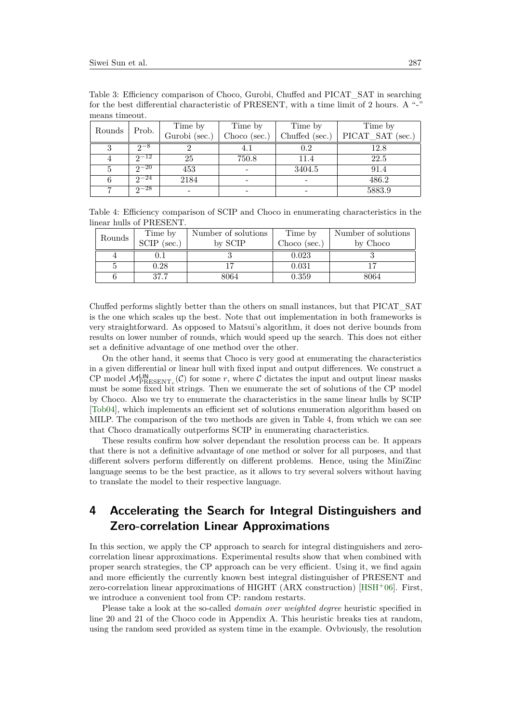| 11100119 011110000. |           |               |              |                |                  |
|---------------------|-----------|---------------|--------------|----------------|------------------|
| Rounds              |           | Time by       | Time by      | Time by        | Time by          |
|                     | Prob.     | Gurobi (sec.) | Choco (sec.) | Chuffed (sec.) | PICAT SAT (sec.) |
|                     | $2^{-8}$  |               |              | $0.2\,$        | 12.8             |
| 4                   | $2^{-12}$ | 25            | 750.8        | 11.4           | 22.5             |
|                     | $2^{-20}$ | 453           |              | 3404.5         | 91.4             |
| 6                   | $2^{-24}$ | 2184          |              |                | 486.2            |
|                     | $2^{-28}$ |               |              |                | 5883.9           |

<span id="page-6-1"></span>Table 3: Efficiency comparison of Choco, Gurobi, Chuffed and PICAT\_SAT in searching for the best differential characteristic of PRESENT, with a time limit of 2 hours. A "-" means timeout

<span id="page-6-2"></span>Table 4: Efficiency comparison of SCIP and Choco in enumerating characteristics in the linear hulls of PRESENT.

| Rounds | Time by       | Number of solutions | Time by      | Number of solutions |
|--------|---------------|---------------------|--------------|---------------------|
|        | $SCIP$ (sec.) | by SCIP             | Choco (sec.) | by Choco            |
|        |               |                     | 0.023        |                     |
|        | 0.28          |                     | 0.031        |                     |
|        | 37.7          | 8064                | 0.359        | 8064                |

Chuffed performs slightly better than the others on small instances, but that PICAT\_SAT is the one which scales up the best. Note that out implementation in both frameworks is very straightforward. As opposed to Matsui's algorithm, it does not derive bounds from results on lower number of rounds, which would speed up the search. This does not either set a definitive advantage of one method over the other.

On the other hand, it seems that Choco is very good at enumerating the characteristics in a given differential or linear hull with fixed input and output differences. We construct a CP model  $M_{\text{PRESENT}_r}^{\text{LIN}}(\mathcal{C})$  for some *r*, where  $\mathcal C$  dictates the input and output linear masks must be some fixed bit strings. Then we enumerate the set of solutions of the CP model by Choco. Also we try to enumerate the characteristics in the same linear hulls by SCIP [\[Tob04\]](#page-20-5), which implements an efficient set of solutions enumeration algorithm based on MILP. The comparison of the two methods are given in Table [4,](#page-6-2) from which we can see that Choco dramatically outperforms SCIP in enumerating characteristics.

These results confirm how solver dependant the resolution process can be. It appears that there is not a definitive advantage of one method or solver for all purposes, and that different solvers perform differently on different problems. Hence, using the MiniZinc language seems to be the best practice, as it allows to try several solvers without having to translate the model to their respective language.

# <span id="page-6-0"></span>**4 Accelerating the Search for Integral Distinguishers and Zero-correlation Linear Approximations**

In this section, we apply the CP approach to search for integral distinguishers and zerocorrelation linear approximations. Experimental results show that when combined with proper search strategies, the CP approach can be very efficient. Using it, we find again and more efficiently the currently known best integral distinguisher of PRESENT and zero-correlation linear approximations of HIGHT (ARX construction) [\[HSH](#page-18-8)+06]. First, we introduce a convenient tool from CP: random restarts.

Please take a look at the so-called *domain over weighted degree* heuristic specified in line 20 and 21 of the Choco code in Appendix A. This heuristic breaks ties at random, using the random seed provided as system time in the example. Ovbviously, the resolution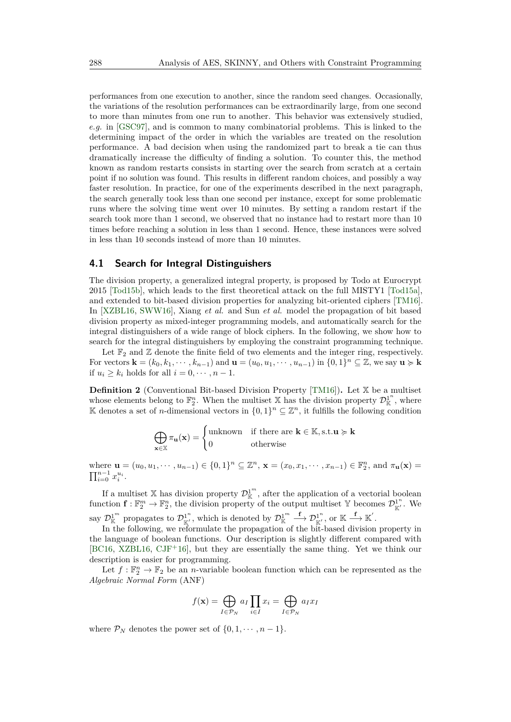performances from one execution to another, since the random seed changes. Occasionally, the variations of the resolution performances can be extraordinarily large, from one second to more than minutes from one run to another. This behavior was extensively studied, *e.g.* in [\[GSC97\]](#page-18-9), and is common to many combinatorial problems. This is linked to the determining impact of the order in which the variables are treated on the resolution performance. A bad decision when using the randomized part to break a tie can thus dramatically increase the difficulty of finding a solution. To counter this, the method known as random restarts consists in starting over the search from scratch at a certain point if no solution was found. This results in different random choices, and possibly a way faster resolution. In practice, for one of the experiments described in the next paragraph, the search generally took less than one second per instance, except for some problematic runs where the solving time went over 10 minutes. By setting a random restart if the search took more than 1 second, we observed that no instance had to restart more than 10 times before reaching a solution in less than 1 second. Hence, these instances were solved in less than 10 seconds instead of more than 10 minutes.

#### **4.1 Search for Integral Distinguishers**

The division property, a generalized integral property, is proposed by Todo at Eurocrypt 2015 [\[Tod15b\]](#page-20-6), which leads to the first theoretical attack on the full MISTY1 [\[Tod15a\]](#page-20-7), and extended to bit-based division properties for analyzing bit-oriented ciphers [\[TM16\]](#page-20-8). In [\[XZBL16,](#page-21-2) [SWW16\]](#page-20-9), Xiang *et al.* and Sun *et al.* model the propagation of bit based division property as mixed-integer programming models, and automatically search for the integral distinguishers of a wide range of block ciphers. In the following, we show how to search for the integral distinguishers by employing the constraint programming technique.

Let  $\mathbb{F}_2$  and  $\mathbb Z$  denote the finite field of two elements and the integer ring, respectively. For vectors  $\mathbf{k} = (k_0, k_1, \dots, k_{n-1})$  and  $\mathbf{u} = (u_0, u_1, \dots, u_{n-1})$  in  $\{0, 1\}^n \subseteq \mathbb{Z}$ , we say  $\mathbf{u} \succcurlyeq \mathbf{k}$ if  $u_i \geq k_i$  holds for all  $i = 0, \dots, n-1$ .

**Definition 2** (Conventional Bit-based Division Property [\[TM16\]](#page-20-8))**.** Let X be a multiset whose elements belong to  $\mathbb{F}_2^n$ . When the multiset X has the division property  $\mathcal{D}_{\mathbb{K}}^{1^n}$ , where K denotes a set of *n*-dimensional vectors in  $\{0,1\}$ <sup>n</sup> ⊆  $\mathbb{Z}^n$ , it fulfills the following condition

$$
\bigoplus_{\mathbf{x}\in\mathbb{X}}\pi_{\mathbf{u}}(\mathbf{x}) = \begin{cases} \text{unknown} & \text{if there are } \mathbf{k}\in\mathbb{K}, \text{s.t.}\mathbf{u}\succcurlyeq\mathbf{k} \\ 0 & \text{otherwise} \end{cases}
$$

where  $\mathbf{u} = (u_0, u_1, \dots, u_{n-1}) \in \{0, 1\}^n \subseteq \mathbb{Z}^n$ ,  $\mathbf{x} = (x_0, x_1, \dots, x_{n-1}) \in \mathbb{F}_2^n$ , and  $\pi_{\mathbf{u}}(\mathbf{x}) =$  $\prod_{i=0}^{n-1} x_i^{u_i}$ .

If a multiset X has division property  $\mathcal{D}_{\mathbb{K}}^{1^m}$ , after the application of a vectorial boolean function  $\mathbf{f} : \mathbb{F}_2^m \to \mathbb{F}_2^n$ , the division property of the output multiset Y becomes  $\mathcal{D}_{\mathbb{K}'}^{1^n}$ . We  $\text{Cov}_{\mathbb{K}}^{1^m}$  propagates to  $\mathcal{D}_{\mathbb{K}'}^{1^n}$ , which is denoted by  $\mathcal{D}_{\mathbb{K}}^{1^m} \stackrel{\mathbf{f}}{\longrightarrow} \mathcal{D}_{\mathbb{K}'}^{1^n}$ , or  $\mathbb{K} \stackrel{\mathbf{f}}{\longrightarrow} \mathbb{K}'$ .

In the following, we reformulate the propagation of the bit-based division property in the language of boolean functions. Our description is slightly different compared with [\[BC16,](#page-16-6) [XZBL16,](#page-21-2)  $CJF^+16$  $CJF^+16$ ], but they are essentially the same thing. Yet we think our description is easier for programming.

Let  $f: \mathbb{F}_2^n \to \mathbb{F}_2$  be an *n*-variable boolean function which can be represented as the *Algebraic Normal Form* (ANF)

$$
f(\mathbf{x}) = \bigoplus_{I \in \mathcal{P}_N} a_I \prod_{i \in I} x_i = \bigoplus_{I \in \mathcal{P}_N} a_I x_I
$$

where  $\mathcal{P}_N$  denotes the power set of  $\{0, 1, \dots, n-1\}$ .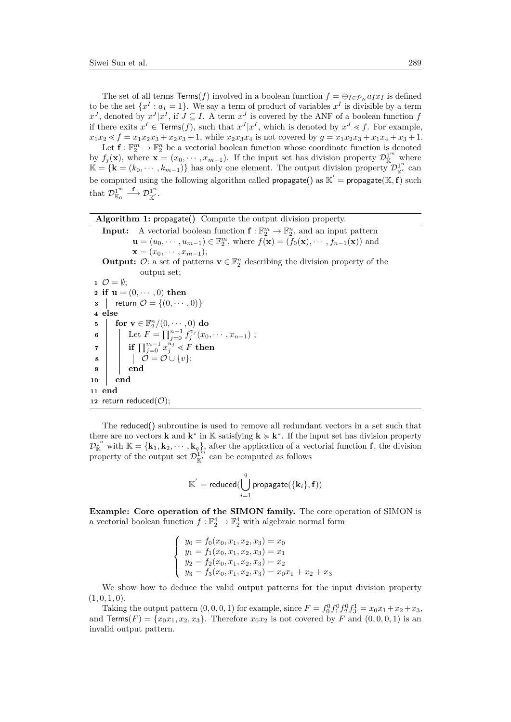The set of all terms  $\text{Terms}(f)$  involved in a boolean function  $f = \bigoplus_{I \in \mathcal{P}_N} a_I x_I$  is defined to be the set  $\{x^I : a_I = 1\}$ . We say a term of product of variables  $x^I$  is divisible by a term  $x^J$ , denoted by  $x^J | x^I$ , if  $J \subseteq I$ . A term  $x^J$  is covered by the ANF of a boolean function *f* if there exits  $x^I \in \text{Terms}(f)$ , such that  $x^J | x^I$ , which is denoted by  $x^J \leq f$ . For example,  $x_1x_2 \leq f = x_1x_2x_3 + x_2x_3 + 1$ , while  $x_2x_3x_4$  is not covered by  $g = x_1x_2x_3 + x_1x_4 + x_3 + 1$ .

Let  $\mathbf{f} : \mathbb{F}_2^m \to \mathbb{F}_2^n$  be a vectorial boolean function whose coordinate function is denoted by  $f_j(\mathbf{x})$ , where  $\mathbf{x} = (x_0, \dots, x_{m-1})$ . If the input set has division property  $\mathcal{D}_{\mathbb{K}}^{1^m}$  where  $\mathbb{K} = {\mathbf{k} = (k_0, \dots, k_{m-1})}$  has only one element. The output division property  $\mathcal{D}_{\mathbb{K}'}^{1^n}$  can be computed using the following algorithm called  $\mathsf{propagate}()$  as  $\mathbb{K}' = \mathsf{propagate}(\mathbb{K}, \tilde{\mathbf{f}})$  such that  $\mathcal{D}_{\mathbb{K}_0}^1 \stackrel{\mathbf{f}}{\longrightarrow} \mathcal{D}_{\mathbb{K}'}^{1^n}$ .

<span id="page-8-0"></span>

|  |  | Algorithm 1: propagate() Compute the output division property. |  |  |
|--|--|----------------------------------------------------------------|--|--|
|  |  |                                                                |  |  |

```
Input: A vectorial boolean function f: \mathbb{F}_2^m \to \mathbb{F}_2^n, and an input pattern
            u = (u_0, \dots, u_{m-1}) \in \mathbb{F}_2^m, where f(\mathbf{x}) = (f_0(\mathbf{x}), \dots, f_{n-1}(\mathbf{x})) and
           \mathbf{x} = (x_0, \cdots, x_{m-1});
```
**Output:**  $\mathcal{O}:$  a set of patterns  $\mathbf{v} \in \mathbb{F}_2^n$  describing the division property of the output set;

1  $\mathcal{O} = \emptyset;$ **2 if**  $u = (0, \dots, 0)$  **then 3** | **return**  $\mathcal{O} = \{(0, \dots, 0)\}$ **<sup>4</sup> else 5 for**  $\mathbf{v} \in \mathbb{F}_2^n/(0,\cdots,0)$  **do 6**  $\left| \quad \right|$  Let  $F = \prod_{j=0}^{n-1} f_j^{v_j}(x_0, \dots, x_{n-1})$ ;  $\tau$   $\left| \begin{array}{c} \textbf{if} \ \prod_{j=0}^{m-1} x_j^{u_j} \lessdot F \textbf{ then} \end{array} \right.$  $\begin{array}{|c|c|c|}\n\hline\n8 & 1 & 0 \\
\hline\n\end{array} \hspace{0.2cm} \mathcal{O} = \mathcal{O} \cup \{v\};$ **<sup>9</sup> end <sup>10</sup> end <sup>11</sup> end 12** return reduced $(\mathcal{O})$ ;

The reduced() subroutine is used to remove all redundant vectors in a set such that there are no vectors **k** and **k**<sup>\*</sup> in K satisfying  $\mathbf{k} \geq \mathbf{k}^*$ . If the input set has division property  $\mathcal{D}_{\mathbb{K}}^{1^n}$  with  $\mathbb{K} = {\mathbf{k}_1, \mathbf{k}_2, \cdots, \mathbf{k}_q}$ , after the application of a vectorial function **f**, the division property of the output set  $\mathcal{D}_{\mathbb{K}'}^{1^{m}}$  can be computed as follows

$$
\mathbb{K}^{'}=\text{reduced}(\bigcup_{i=1}^{q}\text{propagate}(\{\mathbf{k}_i\},\mathbf{f}))
$$

**Example: Core operation of the SIMON family.** The core operation of SIMON is a vectorial boolean function  $f: \mathbb{F}_2^4 \to \mathbb{F}_2^4$  with algebraic normal form

$$
\begin{cases}\ny_0 = f_0(x_0, x_1, x_2, x_3) = x_0 \\
y_1 = f_1(x_0, x_1, x_2, x_3) = x_1 \\
y_2 = f_2(x_0, x_1, x_2, x_3) = x_2 \\
y_3 = f_3(x_0, x_1, x_2, x_3) = x_0x_1 + x_2 + x_3\n\end{cases}
$$

We show how to deduce the valid output patterns for the input division property  $(1, 0, 1, 0)$ .

Taking the output pattern  $(0, 0, 0, 1)$  for example, since  $F = f_0^0 f_1^0 f_2^0 f_3^1 = x_0 x_1 + x_2 + x_3$ , and  $Terms(F) = \{x_0x_1, x_2, x_3\}$ . Therefore  $x_0x_2$  is not covered by *F* and  $(0, 0, 0, 1)$  is an invalid output pattern.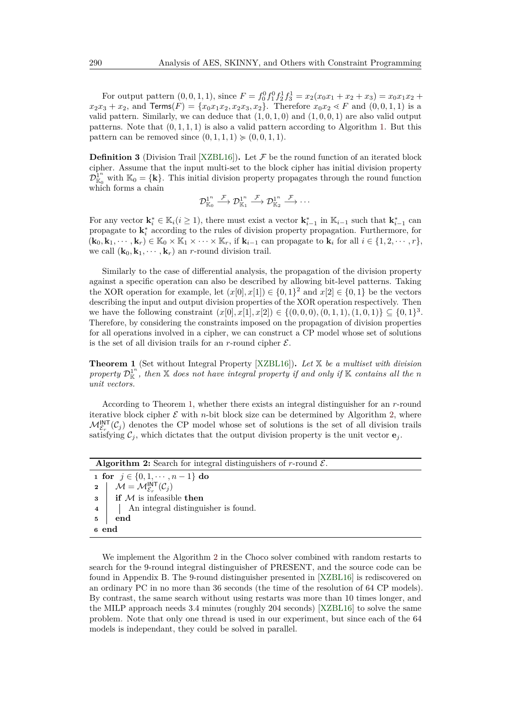For output pattern  $(0, 0, 1, 1)$ , since  $F = f_0^0 f_1^0 f_2^1 f_3^1 = x_2(x_0 x_1 + x_2 + x_3) = x_0 x_1 x_2 + x_3$  $x_2x_3 + x_2$ , and **Terms** $(F) = \{x_0x_1x_2, x_2x_3, x_2\}$ . Therefore  $x_0x_2 \leq F$  and  $(0, 0, 1, 1)$  is a valid pattern. Similarly, we can deduce that  $(1, 0, 1, 0)$  and  $(1, 0, 0, 1)$  are also valid output patterns. Note that  $(0, 1, 1, 1)$  is also a valid pattern according to Algorithm [1.](#page-8-0) But this pattern can be removed since  $(0, 1, 1, 1) \geq (0, 0, 1, 1)$ .

**Definition 3** (Division Trail [\[XZBL16\]](#page-21-2)). Let  $\mathcal F$  be the round function of an iterated block cipher. Assume that the input multi-set to the block cipher has initial division property  $\mathcal{D}_{\mathbb{K}_0}^{\mathbb{I}^n}$  with  $\mathbb{K}_0 = {\mathbf{k}}$ . This initial division property propagates through the round function which forms a chain

$$
\mathcal{D}_{\mathbb{K}_0}^{1^n} \stackrel{\mathcal{F}}{\longrightarrow} \mathcal{D}_{\mathbb{K}_1}^{1^n} \stackrel{\mathcal{F}}{\longrightarrow} \mathcal{D}_{\mathbb{K}_2}^{1^n} \stackrel{\mathcal{F}}{\longrightarrow} \cdots
$$

For any vector  $\mathbf{k}_i^* \in \mathbb{K}_i (i \geq 1)$ , there must exist a vector  $\mathbf{k}_{i-1}^*$  in  $\mathbb{K}_{i-1}$  such that  $\mathbf{k}_{i-1}^*$  can propagate to  $\mathbf{k}_i^*$  according to the rules of division property propagation. Furthermore, for  $(\mathbf{k}_0, \mathbf{k}_1, \dots, \mathbf{k}_r) \in \mathbb{K}_0 \times \mathbb{K}_1 \times \dots \times \mathbb{K}_r$ , if  $\mathbf{k}_{i-1}$  can propagate to  $\mathbf{k}_i$  for all  $i \in \{1, 2, \dots, r\}$ , we call  $(\mathbf{k}_0, \mathbf{k}_1, \cdots, \mathbf{k}_r)$  an *r*-round division trail.

Similarly to the case of differential analysis, the propagation of the division property against a specific operation can also be described by allowing bit-level patterns. Taking the XOR operation for example, let  $(x[0], x[1]) \in \{0,1\}^2$  and  $x[2] \in \{0,1\}$  be the vectors describing the input and output division properties of the XOR operation respectively. Then we have the following constraint  $(x[0], x[1], x[2]) \in \{(0,0,0), (0,1,1), (1,0,1)\} \subseteq \{0,1\}^3$ . Therefore, by considering the constraints imposed on the propagation of division properties for all operations involved in a cipher, we can construct a CP model whose set of solutions is the set of all division trails for an  $r$ -round cipher  $\mathcal{E}$ .

<span id="page-9-0"></span>**Theorem 1** (Set without Integral Property [\[XZBL16\]](#page-21-2))**.** *Let* X *be a multiset with division* property  $\mathcal{D}_{\mathbb{K}}^{1^n}$ , then  $\mathbb X$  does not have integral property if and only if  $\mathbb K$  contains all the n *unit vectors.*

According to Theorem [1,](#page-9-0) whether there exists an integral distinguisher for an *r*-round iterative block cipher  $\mathcal E$  with *n*-bit block size can be determined by Algorithm [2,](#page-9-1) where  $\mathcal{M}_{\mathcal{E}_r}^{\text{INT}}(\mathcal{C}_j)$  denotes the CP model whose set of solutions is the set of all division trails satisfying  $C_j$ , which dictates that the output division property is the unit vector  $\mathbf{e}_j$ .

<span id="page-9-1"></span>

| <b>Algorithm 2:</b> Search for integral distinguishers of r-round $\mathcal{E}$ . |
|-----------------------------------------------------------------------------------|
| 1 for $j \in \{0, 1, \dots, n-1\}$ do                                             |
| 2 $\mathcal{M} = \mathcal{M}_{\mathcal{E}_n}^{\text{INT}}(\mathcal{C}_j)$         |
| $\mathbf{s}$ if M is infeasible then                                              |
| An integral distinguisher is found.<br>$\overline{\mathbf{4}}$                    |
| end<br>5                                                                          |
| 6 end                                                                             |
|                                                                                   |

We implement the Algorithm [2](#page-9-1) in the Choco solver combined with random restarts to search for the 9-round integral distinguisher of PRESENT, and the source code can be found in Appendix B. The 9-round distinguisher presented in [\[XZBL16\]](#page-21-2) is rediscovered on an ordinary PC in no more than 36 seconds (the time of the resolution of 64 CP models). By contrast, the same search without using restarts was more than 10 times longer, and the MILP approach needs 3.4 minutes (roughly 204 seconds) [\[XZBL16\]](#page-21-2) to solve the same problem. Note that only one thread is used in our experiment, but since each of the 64 models is independant, they could be solved in parallel.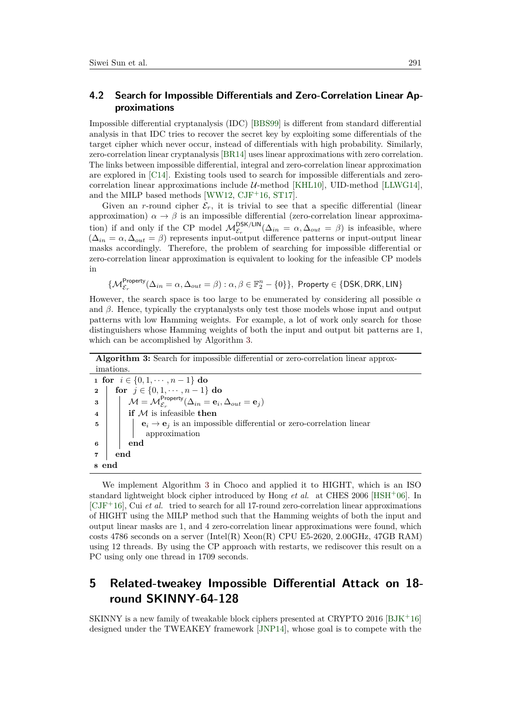### **4.2 Search for Impossible Differentials and Zero-Correlation Linear Approximations**

Impossible differential cryptanalysis (IDC) [\[BBS99\]](#page-16-7) is different from standard differential analysis in that IDC tries to recover the secret key by exploiting some differentials of the target cipher which never occur, instead of differentials with high probability. Similarly, zero-correlation linear cryptanalysis [\[BR14\]](#page-17-10) uses linear approximations with zero correlation. The links between impossible differential, integral and zero-correlation linear approximation are explored in [\[C14\]](#page-17-11). Existing tools used to search for impossible differentials and zerocorrelation linear approximations include  $U$ -method [\[KHL10\]](#page-19-10), UID-method [\[LLWG14\]](#page-19-11), and the MILP based methods [\[WW12,](#page-21-4)  $CJF+16$  $CJF+16$ , [ST17\]](#page-20-10).

Given an *r*-round cipher  $\mathcal{E}_r$ , it is trivial to see that a specific differential (linear approximation)  $\alpha \to \beta$  is an impossible differential (zero-correlation linear approximation) if and only if the CP model  $M_{\mathcal{E}_r}^{\text{DSK/LIN}}(\Delta_{in} = \alpha, \Delta_{out} = \beta)$  is infeasible, where  $(\Delta_{in} = \alpha, \Delta_{out} = \beta)$  represents input-output difference patterns or input-output linear masks accordingly. Therefore, the problem of searching for impossible differential or zero-correlation linear approximation is equivalent to looking for the infeasible CP models in

 $\{\mathcal{M}^{\mathsf{Property}}_{\mathcal{E}_r}(\Delta_{in} = \alpha, \Delta_{out} = \beta) : \alpha, \beta \in \mathbb{F}_2^n - \{0\}\},\$ Property ∈ {DSK, DRK, LIN}

However, the search space is too large to be enumerated by considering all possible *α* and  $\beta$ . Hence, typically the cryptanalysts only test those models whose input and output patterns with low Hamming weights. For example, a lot of work only search for those distinguishers whose Hamming weights of both the input and output bit patterns are 1, which can be accomplished by Algorithm [3.](#page-10-1)

<span id="page-10-1"></span>

| <b>Algorithm 3:</b> Search for impossible differential or zero-correlation linear approx-                                       |
|---------------------------------------------------------------------------------------------------------------------------------|
| imations.                                                                                                                       |
| 1 for $i \in \{0, 1, \dots, n-1\}$ do                                                                                           |
| for $j \in \{0, 1, \dots, n-1\}$ do<br>$\mathbf{2}$                                                                             |
| $\mathcal{M} = \mathcal{M}_{\mathcal{E}_{-}}^{\mathsf{Property}}(\Delta_{in} = \mathbf{e}_i, \Delta_{out} = \mathbf{e}_j)$<br>3 |
| if $M$ is infeasible then<br>$\overline{\mathbf{4}}$                                                                            |
| $\mathbf{e}_i \rightarrow \mathbf{e}_j$ is an impossible differential or zero-correlation linear<br>5<br>approximation          |
| end<br>6                                                                                                                        |
| end<br>7                                                                                                                        |
| end<br>8                                                                                                                        |

We implement Algorithm [3](#page-10-1) in Choco and applied it to HIGHT, which is an ISO standard lightweight block cipher introduced by Hong *et al.* at CHES 2006 [\[HSH](#page-18-8)<sup>+</sup>06]. In  $\left[CIF^+16\right]$ , Cui *et al.* tried to search for all 17-round zero-correlation linear approximations of HIGHT using the MILP method such that the Hamming weights of both the input and output linear masks are 1, and 4 zero-correlation linear approximations were found, which costs 4786 seconds on a server (Intel(R)  $Xeon(R)$  CPU E5-2620, 2.00GHz, 47GB RAM) using 12 threads. By using the CP approach with restarts, we rediscover this result on a PC using only one thread in 1709 seconds.

# <span id="page-10-0"></span>**5 Related-tweakey Impossible Differential Attack on 18 round SKINNY-64-128**

SKINNY is a new family of tweakable block ciphers presented at CRYPTO 2016 [\[BJK](#page-16-8)<sup>+</sup>16] designed under the TWEAKEY framework [\[JNP14\]](#page-18-10), whose goal is to compete with the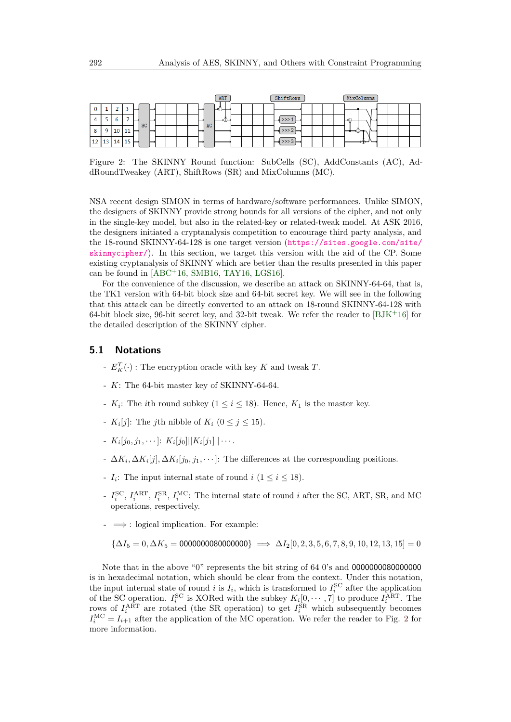<span id="page-11-0"></span>

|                   | ART      | ShiftRows | MixColumns |
|-------------------|----------|-----------|------------|
| ۰                 | -⇔       |           |            |
| SC                | סו<br>AC |           | $\sqrt{T}$ |
| Q<br>10<br>. .    |          |           |            |
| 12 13<br>14<br>15 |          |           | ₩₩         |

Figure 2: The SKINNY Round function: SubCells (SC), AddConstants (AC), AddRoundTweakey (ART), ShiftRows (SR) and MixColumns (MC).

NSA recent design SIMON in terms of hardware/software performances. Unlike SIMON, the designers of SKINNY provide strong bounds for all versions of the cipher, and not only in the single-key model, but also in the related-key or related-tweak model. At ASK 2016, the designers initiated a cryptanalysis competition to encourage third party analysis, and the 18-round SKINNY-64-128 is one target version ([https://sites.google.com/site/](https://sites.google.com/site/skinnycipher/) [skinnycipher/](https://sites.google.com/site/skinnycipher/)). In this section, we target this version with the aid of the CP. Some existing cryptanalysis of SKINNY which are better than the results presented in this paper can be found in  $[ABC+16, SMB16, TAY16, LGS16].$  $[ABC+16, SMB16, TAY16, LGS16].$  $[ABC+16, SMB16, TAY16, LGS16].$  $[ABC+16, SMB16, TAY16, LGS16].$  $[ABC+16, SMB16, TAY16, LGS16].$  $[ABC+16, SMB16, TAY16, LGS16].$  $[ABC+16, SMB16, TAY16, LGS16].$  $[ABC+16, SMB16, TAY16, LGS16].$ 

For the convenience of the discussion, we describe an attack on SKINNY-64-64, that is, the TK1 version with 64-bit block size and 64-bit secret key. We will see in the following that this attack can be directly converted to an attack on 18-round SKINNY-64-128 with 64-bit block size, 96-bit secret key, and 32-bit tweak. We refer the reader to  $[BJK^+16]$  $[BJK^+16]$  for the detailed description of the SKINNY cipher.

#### **5.1 Notations**

- $E_K^T(\cdot)$ : The encryption oracle with key  $K$  and tweak  $T$ .
- *K*: The 64-bit master key of SKINNY-64-64.
- $K_i$ : The *i*th round subkey  $(1 \leq i \leq 18)$ . Hence,  $K_1$  is the master key.
- $K_i[j]$ : The *j*th nibble of  $K_i$  ( $0 \le j \le 15$ ).
- $K_i[j_0,j_1,\cdots]$ :  $K_i[j_0]$ || $K_i[j_1]$ ||···.
- $-$  ∆*K*<sub>*i*</sub>, ∆*K*<sub>*i*</sub>[*j*]*,* ∆*K*<sub>*i*</sub>[*j*<sub>0</sub>*, j*<sub>1</sub>*,*  $\cdots$ ]: The differences at the corresponding positions.
- $I_i$ : The input internal state of round  $i$  ( $1 \le i \le 18$ ).
- $I_i^{\text{SC}}, I_i^{\text{ART}}, I_i^{\text{SR}}, I_i^{\text{MC}}$ : The internal state of round *i* after the SC, ART, SR, and MC operations, respectively.
- $\rightarrow$   $\Rightarrow$  : logical implication. For example:

$$
\{\Delta I_5 = 0, \Delta K_5 = 0000000000000000\} \implies \Delta I_2[0, 2, 3, 5, 6, 7, 8, 9, 10, 12, 13, 15] = 0
$$

Note that in the above "0" represents the bit string of 64 0's and 0000000080000000 is in hexadecimal notation, which should be clear from the context. Under this notation, the input internal state of round *i* is  $I_i$ , which is transformed to  $I_i^{\text{SC}}$  after the application of the SC operation.  $I_i^{\text{SC}}$  is XORed with the subkey  $K_i[0, \dots, 7]$  to produce  $I_i^{\text{ART}}$ . The rows of  $I_i^{\text{ART}}$  are rotated (the SR operation) to get  $I_i^{\text{SR}}$  which subsequently becomes  $I_i^{\text{MC}} = I_{i+1}$  after the application of the MC operation. We refer the reader to Fig. [2](#page-11-0) for more information.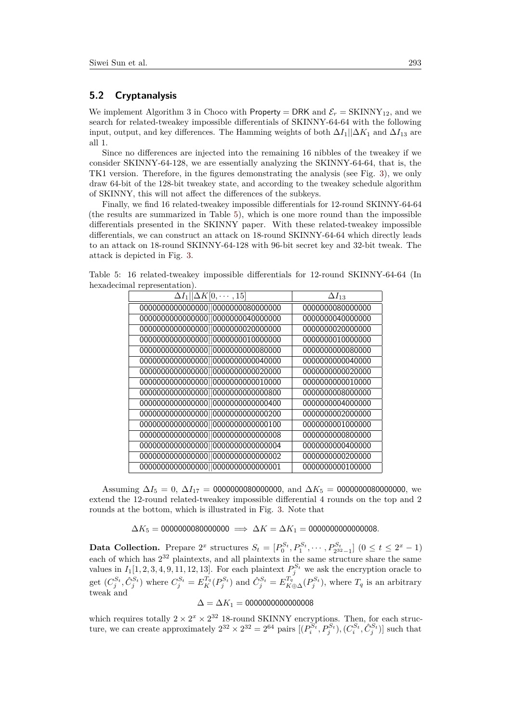#### **5.2 Cryptanalysis**

We implement Algorithm 3 in Choco with Property = DRK and  $\mathcal{E}_r = \text{SKINNY}_{12}$ , and we search for related-tweakey impossible differentials of SKINNY-64-64 with the following input, output, and key differences. The Hamming weights of both  $\Delta I_1||\Delta K_1$  and  $\Delta I_{13}$  are all 1.

Since no differences are injected into the remaining 16 nibbles of the tweakey if we consider SKINNY-64-128, we are essentially analyzing the SKINNY-64-64, that is, the TK1 version. Therefore, in the figures demonstrating the analysis (see Fig. [3\)](#page-14-0), we only draw 64-bit of the 128-bit tweakey state, and according to the tweakey schedule algorithm of SKINNY, this will not affect the differences of the subkeys.

Finally, we find 16 related-tweakey impossible differentials for 12-round SKINNY-64-64 (the results are summarized in Table [5\)](#page-12-0), which is one more round than the impossible differentials presented in the SKINNY paper. With these related-tweakey impossible differentials, we can construct an attack on 18-round SKINNY-64-64 which directly leads to an attack on 18-round SKINNY-64-128 with 96-bit secret key and 32-bit tweak. The attack is depicted in Fig. [3.](#page-14-0)

<span id="page-12-0"></span>Table 5: 16 related-tweakey impossible differentials for 12-round SKINNY-64-64 (In hexadecimal representation).

| $\Delta I_1    \Delta K [0, \cdots, 15]$ | $\Delta I_{13}$  |
|------------------------------------------|------------------|
| 0000000000000000  0000000080000000       | 0000000080000000 |
| 0000000000000000  0000000040000000       | 0000000040000000 |
| 0000000000000000  0000000020000000       | 0000000020000000 |
| 0000000000000000  0000000010000000       | 0000000010000000 |
| 0000000000000000  00000000000080000      | 0000000000080000 |
| 0000000000000000  00000000000040000      | 0000000000040000 |
| 0000000000000000  00000000000020000      | 0000000000020000 |
| 0000000000000000  00000000000010000      | 0000000000010000 |
| 0000000000000000  000000000000000000     | 0000000008000000 |
| 0000000000000000  000000000000000000     | 0000000004000000 |
| 0000000000000000  00000000000000200      | 0000000002000000 |
| 0000000000000000  00000000000000100      | 0000000001000000 |
| 0000000000000000  00000000000000008      | 0000000000800000 |
| 0000000000000000  00000000000000004      | 0000000000400000 |
| 0000000000000000  00000000000000002      | 0000000000200000 |
| 0000000000000000  00000000000000001      | 0000000000100000 |
|                                          |                  |

Assuming  $\Delta I_5 = 0$ ,  $\Delta I_{17} = 000000008000000$ , and  $\Delta K_5 = 000000008000000$ , we extend the 12-round related-tweakey impossible differential 4 rounds on the top and 2 rounds at the bottom, which is illustrated in Fig. [3.](#page-14-0) Note that

 $\Delta K_5 = 0000000080000000 \implies \Delta K = \Delta K_1 = 000000000000008.$ 

**Data Collection.** Prepare  $2^x$  structures  $S_t = [P_0^{S_t}, P_1^{S_t}, \cdots, P_{2^{32}-1}^{S_t}]$   $(0 \le t \le 2^x - 1)$ each of which has 2 <sup>32</sup> plaintexts, and all plaintexts in the same structure share the same values in  $I_1[1, 2, 3, 4, 9, 11, 12, 13]$ . For each plaintext  $P_j^{S_t}$  we ask the encryption oracle to get  $(C_j^{S_t}, \hat{C}_j^{S_t})$  where  $C_j^{S_t} = E_K^{T_q}(P_j^{S_t})$  and  $\hat{C}_j^{S_t} = E_{K \oplus \Delta}^{T_q}(P_j^{S_t})$ , where  $T_q$  is an arbitrary tweak and

#### $\Delta = \Delta K_1 = 0000000000000008$

which requires totally  $2 \times 2^{x} \times 2^{32}$  18-round SKINNY encryptions. Then, for each structure, we can create approximately  $2^{32} \times 2^{32} = 2^{64}$  pairs  $[(P_i^{S_t}, P_j^{S_t}), (C_i^{S_t}, \hat{C}_j^{S_t})]$  such that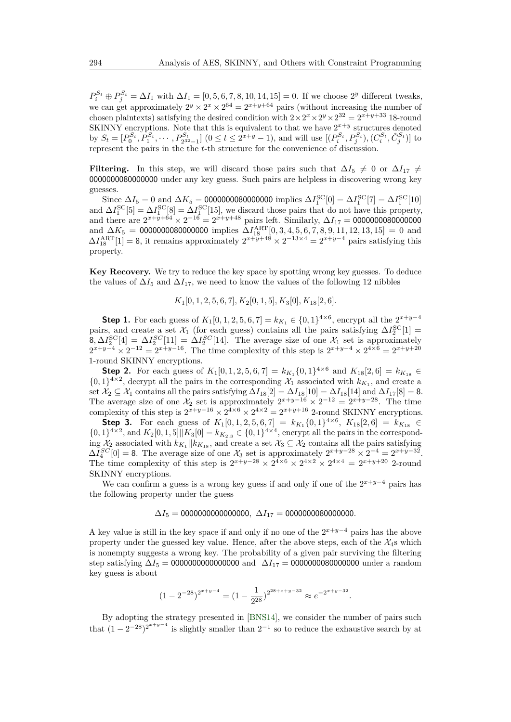$P_i^{S_t} \oplus P_j^{S_t} = \Delta I_1$  with  $\Delta I_1 = [0, 5, 6, 7, 8, 10, 14, 15] = 0$ . If we choose 2<sup>y</sup> different tweaks, we can get approximately  $2^y \times 2^x \times 2^{64} = 2^{x+y+64}$  pairs (without increasing the number of chosen plaintexts) satisfying the desired condition with  $2 \times 2^x \times 2^y \times 2^{32} = 2^{x+y+33}$  18-round SKINNY encryptions. Note that this is equivalent to that we have  $2^{x+y}$  structures denoted by  $S_t = [P_0^{S_t}, P_1^{S_t}, \cdots, P_{2^{32}-1}^{S_t}]$   $(0 \le t \le 2^{x+y}-1)$ , and will use  $[(P_i^{S_t}, P_j^{S_t}), (C_i^{S_t}, \hat{C}_j^{S_t})]$  to represent the pairs in the the *t*-th structure for the convenience of discussion.

**Filtering.** In this step, we will discard those pairs such that  $\Delta I_5 \neq 0$  or  $\Delta I_{17} \neq 0$ 0000000080000000 under any key guess. Such pairs are helpless in discovering wrong key guesses.

Since  $\Delta I_5 = 0$  and  $\Delta K_5 = 0.000000080000000$  implies  $\Delta I_1^{\rm SC}[0] = \Delta I_1^{\rm SC}[7] = \Delta I_1^{\rm SC}[10]$ and  $\Delta I_1^{\rm SC}[\delta] = \Delta I_1^{\rm SC}[\delta] = \Delta I_1^{\rm SC}[15]$ , we discard those pairs that do not have this property, and there are 2 *<sup>x</sup>*+*y*+64 × 2 <sup>−</sup><sup>16</sup> = 2*<sup>x</sup>*+*y*+48 pairs left. Similarly, ∆*I*<sup>17</sup> = 0000000080000000 and  $\Delta K_5 = 000000008000000$  implies  $\Delta I_{18}^{\text{ART}}[0, 3, 4, 5, 6, 7, 8, 9, 11, 12, 13, 15] = 0$  and  $\Delta I_{18}^{\text{ART}}[1] = 8$ , it remains approximately  $2^{x+y+48} \times 2^{-13 \times 4} = 2^{x+y-4}$  pairs satisfying this property.

**Key Recovery.** We try to reduce the key space by spotting wrong key guesses. To deduce the values of  $\Delta I_5$  and  $\Delta I_{17}$ , we need to know the values of the following 12 nibbles

*K*1[0*,* 1*,* 2*,* 5*,* 6*,* 7]*, K*2[0*,* 1*,* 5]*, K*3[0]*, K*18[2*,* 6]*.*

**Step 1.** For each guess of  $K_1[0, 1, 2, 5, 6, 7] = k_{K_1} \in \{0, 1\}^{4 \times 6}$ , encrypt all the  $2^{x+y-4}$ pairs, and create a set  $\mathcal{X}_1$  (for each guess) contains all the pairs satisfying  $\Delta I_2^{\rm SC}[1] =$  $8, \Delta I_2^{\rm SC}[4] = \Delta I_2^{SC}[11] = \Delta I_2^{SC}[14]$ . The average size of one  $\mathcal{X}_1$  set is approximately  $2^{x+y-4} \times 2^{-12} = 2^{x+y-16}$ . The time complexity of this step is  $2^{x+y-4} \times 2^{4 \times 6} = 2^{x+y+20}$ 1-round SKINNY encryptions.

**Step 2.** For each guess of  $K_1[0, 1, 2, 5, 6, 7] = k_{K_1} \{0, 1\}^{4 \times 6}$  and  $K_{18}[2, 6] = k_{K_{18}} \in$  $\{0,1\}^{4\times2}$ , decrypt all the pairs in the corresponding  $\mathcal{X}_1$  associated with  $k_{K_1}$ , and create a set  $\mathcal{X}_2 \subseteq \mathcal{X}_1$  contains all the pairs satisfying  $\Delta I_{18}[2] = \Delta I_{18}[10] = \Delta I_{18}[14]$  and  $\Delta I_{17}[8] = 8$ . The average size of one  $\mathcal{X}_2$  set is approximately  $2^{x+y-16} \times 2^{-12} = 2^{x+y-28}$ . The time complexity of this step is  $2^{x+y-16} \times 2^{4 \times 6} \times 2^{4 \times 2} = 2^{x+y+16}$  2-round SKINNY encryptions.

**Step 3.** For each guess of  $K_1[0, 1, 2, 5, 6, 7] = k_{K_1} \{0, 1\}^{4 \times 6}$ ,  $K_{18}[2, 6] = k_{K_{18}} \in$  $\{0,1\}^{4\times2}$ , and  $K_2[0,1,5]||K_3[0] = k_{K_{2,3}} \in \{0,1\}^{4\times4}$ , encrypt all the pairs in the corresponding  $\mathcal{X}_2$  associated with  $k_{K_1} || k_{K_1}$ , and create a set  $\mathcal{X}_3 \subseteq \mathcal{X}_2$  contains all the pairs satisfying  $\Delta I_4^{SC}[0] = 8$ . The average size of one  $\mathcal{X}_3$  set is approximately  $2^{x+y-28} \times 2^{-4} = 2^{x+y-32}$ . The time complexity of this step is  $2^{x+y-28} \times 2^{4 \times 6} \times 2^{4 \times 2} \times 2^{4 \times 4} = 2^{x+y+20}$  2-round SKINNY encryptions.

We can confirm a guess is a wrong key guess if and only if one of the  $2^{x+y-4}$  pairs has the following property under the guess

### $\Delta I_5 = 0000000000000000$ ,  $\Delta I_{17} = 0000000080000000$ .

A key value is still in the key space if and only if no one of the 2 *<sup>x</sup>*+*y*−<sup>4</sup> pairs has the above property under the guessed key value. Hence, after the above steps, each of the  $\mathcal{X}_4$ s which is nonempty suggests a wrong key. The probability of a given pair surviving the filtering step satisfying  $\Delta I_5 = 000000000000000$  and  $\Delta I_{17} = 000000008000000$  under a random key guess is about

$$
(1 - 2^{-28})^{2^{x+y-4}} = (1 - \frac{1}{2^{28}})^{2^{28+x+y-32}} \approx e^{-2^{x+y-32}}.
$$

By adopting the strategy presented in [\[BNS14\]](#page-17-12), we consider the number of pairs such that  $(1 - 2^{-28})^{2^{x+y-4}}$  is slightly smaller than  $2^{-1}$  so to reduce the exhaustive search by at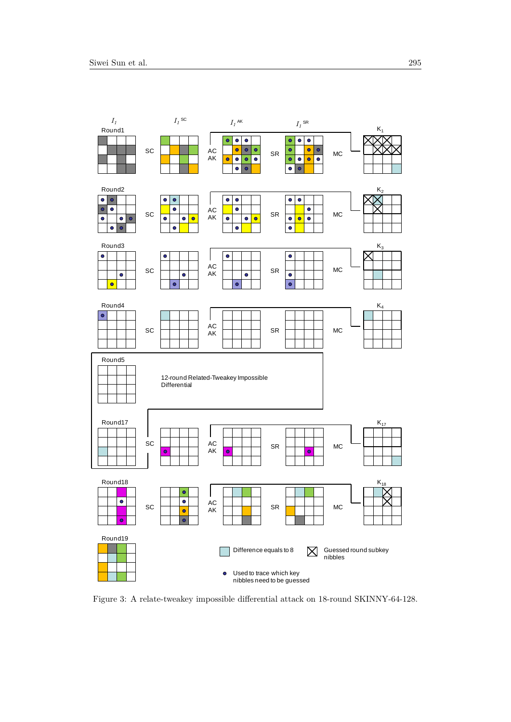<span id="page-14-0"></span>

Figure 3: A relate-tweakey impossible differential attack on 18-round SKINNY-64-128.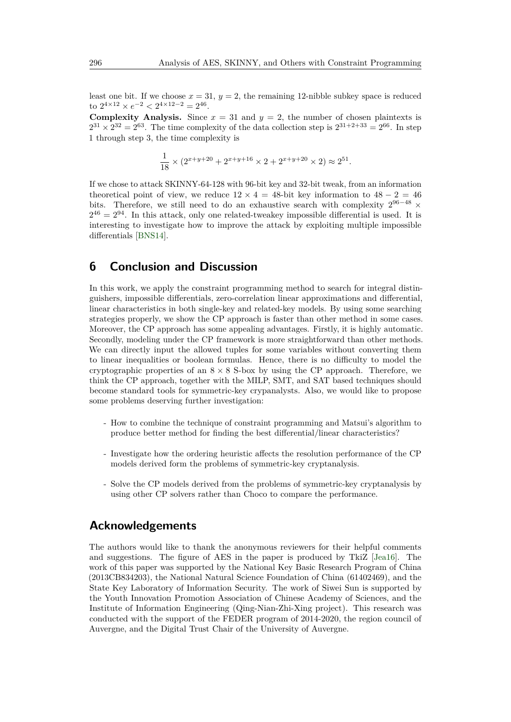least one bit. If we choose  $x = 31$ ,  $y = 2$ , the remaining 12-nibble subkey space is reduced to  $2^{4 \times 12} \times e^{-2} < 2^{4 \times 12 - 2} = 2^{46}$ .

**Complexity Analysis.** Since  $x = 31$  and  $y = 2$ , the number of chosen plaintexts is  $2^{31} \times 2^{32} = 2^{63}$ . The time complexity of the data collection step is  $2^{31+2+33} = 2^{66}$ . In step 1 through step 3, the time complexity is

$$
\frac{1}{18} \times (2^{x+y+20} + 2^{x+y+16} \times 2 + 2^{x+y+20} \times 2) \approx 2^{51}.
$$

If we chose to attack SKINNY-64-128 with 96-bit key and 32-bit tweak, from an information theoretical point of view, we reduce  $12 \times 4 = 48$ -bit key information to  $48 - 2 = 46$ bits. Therefore, we still need to do an exhaustive search with complexity  $2^{96-48}$  ×  $2^{46} = 2^{94}$ . In this attack, only one related-tweakey impossible differential is used. It is interesting to investigate how to improve the attack by exploiting multiple impossible differentials [\[BNS14\]](#page-17-12).

### <span id="page-15-0"></span>**6 Conclusion and Discussion**

In this work, we apply the constraint programming method to search for integral distinguishers, impossible differentials, zero-correlation linear approximations and differential, linear characteristics in both single-key and related-key models. By using some searching strategies properly, we show the CP approach is faster than other method in some cases. Moreover, the CP approach has some appealing advantages. Firstly, it is highly automatic. Secondly, modeling under the CP framework is more straightforward than other methods. We can directly input the allowed tuples for some variables without converting them to linear inequalities or boolean formulas. Hence, there is no difficulty to model the cryptographic properties of an  $8 \times 8$  S-box by using the CP approach. Therefore, we think the CP approach, together with the MILP, SMT, and SAT based techniques should become standard tools for symmetric-key crypanalysts. Also, we would like to propose some problems deserving further investigation:

- How to combine the technique of constraint programming and Matsui's algorithm to produce better method for finding the best differential/linear characteristics?
- Investigate how the ordering heuristic affects the resolution performance of the CP models derived form the problems of symmetric-key cryptanalysis.
- Solve the CP models derived from the problems of symmetric-key cryptanalysis by using other CP solvers rather than Choco to compare the performance.

### **Acknowledgements**

The authors would like to thank the anonymous reviewers for their helpful comments and suggestions. The figure of AES in the paper is produced by TkiZ [\[Jea16\]](#page-18-11). The work of this paper was supported by the National Key Basic Research Program of China (2013CB834203), the National Natural Science Foundation of China (61402469), and the State Key Laboratory of Information Security. The work of Siwei Sun is supported by the Youth Innovation Promotion Association of Chinese Academy of Sciences, and the Institute of Information Engineering (Qing-Nian-Zhi-Xing project). This research was conducted with the support of the FEDER program of 2014-2020, the region council of Auvergne, and the Digital Trust Chair of the University of Auvergne.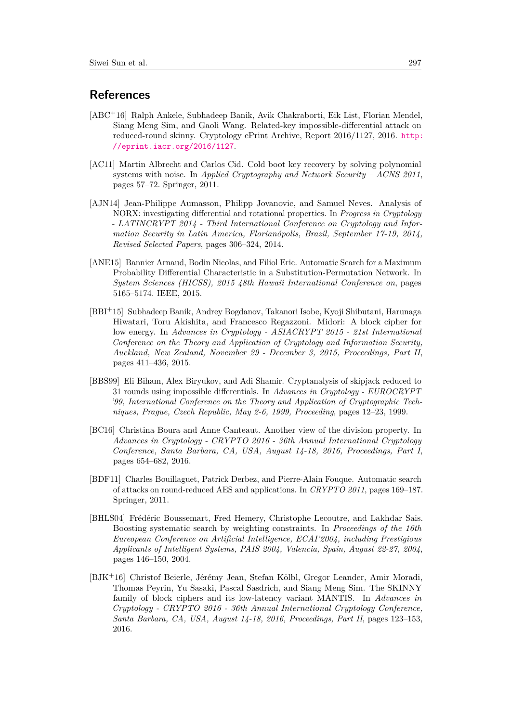### **References**

- <span id="page-16-9"></span>[ABC<sup>+</sup>16] Ralph Ankele, Subhadeep Banik, Avik Chakraborti, Eik List, Florian Mendel, Siang Meng Sim, and Gaoli Wang. Related-key impossible-differential attack on reduced-round skinny. Cryptology ePrint Archive, Report 2016/1127, 2016. [http:](http://eprint.iacr.org/2016/1127) [//eprint.iacr.org/2016/1127](http://eprint.iacr.org/2016/1127).
- <span id="page-16-3"></span>[AC11] Martin Albrecht and Carlos Cid. Cold boot key recovery by solving polynomial systems with noise. In *Applied Cryptography and Network Security – ACNS 2011*, pages 57–72. Springer, 2011.
- <span id="page-16-2"></span>[AJN14] Jean-Philippe Aumasson, Philipp Jovanovic, and Samuel Neves. Analysis of NORX: investigating differential and rotational properties. In *Progress in Cryptology - LATINCRYPT 2014 - Third International Conference on Cryptology and Information Security in Latin America, Florianópolis, Brazil, September 17-19, 2014, Revised Selected Papers*, pages 306–324, 2014.
- <span id="page-16-0"></span>[ANE15] Bannier Arnaud, Bodin Nicolas, and Filiol Eric. Automatic Search for a Maximum Probability Differential Characteristic in a Substitution-Permutation Network. In *System Sciences (HICSS), 2015 48th Hawaii International Conference on*, pages 5165–5174. IEEE, 2015.
- <span id="page-16-4"></span>[BBI<sup>+</sup>15] Subhadeep Banik, Andrey Bogdanov, Takanori Isobe, Kyoji Shibutani, Harunaga Hiwatari, Toru Akishita, and Francesco Regazzoni. Midori: A block cipher for low energy. In *Advances in Cryptology - ASIACRYPT 2015 - 21st International Conference on the Theory and Application of Cryptology and Information Security, Auckland, New Zealand, November 29 - December 3, 2015, Proceedings, Part II*, pages 411–436, 2015.
- <span id="page-16-7"></span>[BBS99] Eli Biham, Alex Biryukov, and Adi Shamir. Cryptanalysis of skipjack reduced to 31 rounds using impossible differentials. In *Advances in Cryptology - EUROCRYPT '99, International Conference on the Theory and Application of Cryptographic Techniques, Prague, Czech Republic, May 2-6, 1999, Proceeding*, pages 12–23, 1999.
- <span id="page-16-6"></span>[BC16] Christina Boura and Anne Canteaut. Another view of the division property. In *Advances in Cryptology - CRYPTO 2016 - 36th Annual International Cryptology Conference, Santa Barbara, CA, USA, August 14-18, 2016, Proceedings, Part I*, pages 654–682, 2016.
- <span id="page-16-1"></span>[BDF11] Charles Bouillaguet, Patrick Derbez, and Pierre-Alain Fouque. Automatic search of attacks on round-reduced AES and applications. In *CRYPTO 2011*, pages 169–187. Springer, 2011.
- <span id="page-16-5"></span>[BHLS04] Frédéric Boussemart, Fred Hemery, Christophe Lecoutre, and Lakhdar Sais. Boosting systematic search by weighting constraints. In *Proceedings of the 16th Eureopean Conference on Artificial Intelligence, ECAI'2004, including Prestigious Applicants of Intelligent Systems, PAIS 2004, Valencia, Spain, August 22-27, 2004*, pages 146–150, 2004.
- <span id="page-16-8"></span>[BJK<sup>+</sup>16] Christof Beierle, Jérémy Jean, Stefan Kölbl, Gregor Leander, Amir Moradi, Thomas Peyrin, Yu Sasaki, Pascal Sasdrich, and Siang Meng Sim. The SKINNY family of block ciphers and its low-latency variant MANTIS. In *Advances in Cryptology - CRYPTO 2016 - 36th Annual International Cryptology Conference, Santa Barbara, CA, USA, August 14-18, 2016, Proceedings, Part II*, pages 123–153, 2016.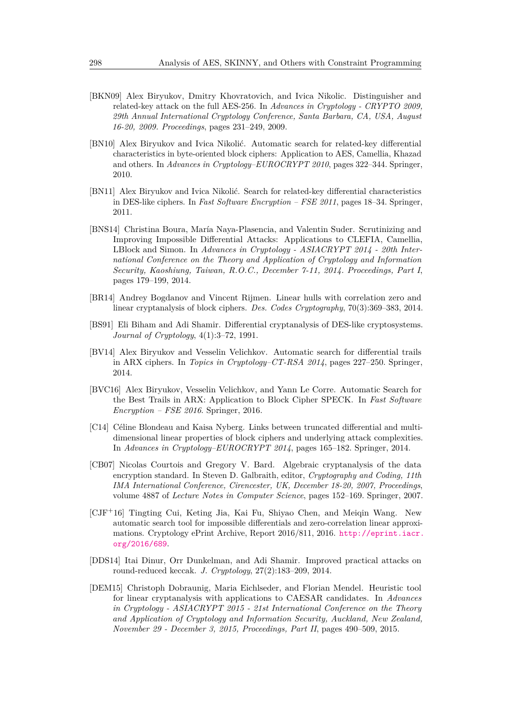- <span id="page-17-8"></span>[BKN09] Alex Biryukov, Dmitry Khovratovich, and Ivica Nikolic. Distinguisher and related-key attack on the full AES-256. In *Advances in Cryptology - CRYPTO 2009, 29th Annual International Cryptology Conference, Santa Barbara, CA, USA, August 16-20, 2009. Proceedings*, pages 231–249, 2009.
- <span id="page-17-6"></span>[BN10] Alex Biryukov and Ivica Nikolić. Automatic search for related-key differential characteristics in byte-oriented block ciphers: Application to AES, Camellia, Khazad and others. In *Advances in Cryptology–EUROCRYPT 2010*, pages 322–344. Springer, 2010.
- <span id="page-17-2"></span>[BN11] Alex Biryukov and Ivica Nikolić. Search for related-key differential characteristics in DES-like ciphers. In *Fast Software Encryption – FSE 2011*, pages 18–34. Springer, 2011.
- <span id="page-17-12"></span>[BNS14] Christina Boura, María Naya-Plasencia, and Valentin Suder. Scrutinizing and Improving Impossible Differential Attacks: Applications to CLEFIA, Camellia, LBlock and Simon. In *Advances in Cryptology - ASIACRYPT 2014 - 20th International Conference on the Theory and Application of Cryptology and Information Security, Kaoshiung, Taiwan, R.O.C., December 7-11, 2014. Proceedings, Part I*, pages 179–199, 2014.
- <span id="page-17-10"></span>[BR14] Andrey Bogdanov and Vincent Rijmen. Linear hulls with correlation zero and linear cryptanalysis of block ciphers. *Des. Codes Cryptography*, 70(3):369–383, 2014.
- <span id="page-17-0"></span>[BS91] Eli Biham and Adi Shamir. Differential cryptanalysis of DES-like cryptosystems. *Journal of Cryptology*, 4(1):3–72, 1991.
- <span id="page-17-1"></span>[BV14] Alex Biryukov and Vesselin Velichkov. Automatic search for differential trails in ARX ciphers. In *Topics in Cryptology–CT-RSA 2014*, pages 227–250. Springer, 2014.
- <span id="page-17-7"></span>[BVC16] Alex Biryukov, Vesselin Velichkov, and Yann Le Corre. Automatic Search for the Best Trails in ARX: Application to Block Cipher SPECK. In *Fast Software Encryption – FSE 2016*. Springer, 2016.
- <span id="page-17-11"></span>[C14] Céline Blondeau and Kaisa Nyberg. Links between truncated differential and multidimensional linear properties of block ciphers and underlying attack complexities. In *Advances in Cryptology–EUROCRYPT 2014*, pages 165–182. Springer, 2014.
- <span id="page-17-5"></span>[CB07] Nicolas Courtois and Gregory V. Bard. Algebraic cryptanalysis of the data encryption standard. In Steven D. Galbraith, editor, *Cryptography and Coding, 11th IMA International Conference, Cirencester, UK, December 18-20, 2007, Proceedings*, volume 4887 of *Lecture Notes in Computer Science*, pages 152–169. Springer, 2007.
- <span id="page-17-9"></span>[CJF<sup>+</sup>16] Tingting Cui, Keting Jia, Kai Fu, Shiyao Chen, and Meiqin Wang. New automatic search tool for impossible differentials and zero-correlation linear approximations. Cryptology ePrint Archive, Report 2016/811, 2016. [http://eprint.iacr.](http://eprint.iacr.org/2016/689) [org/2016/689](http://eprint.iacr.org/2016/689).
- <span id="page-17-4"></span>[DDS14] Itai Dinur, Orr Dunkelman, and Adi Shamir. Improved practical attacks on round-reduced keccak. *J. Cryptology*, 27(2):183–209, 2014.
- <span id="page-17-3"></span>[DEM15] Christoph Dobraunig, Maria Eichlseder, and Florian Mendel. Heuristic tool for linear cryptanalysis with applications to CAESAR candidates. In *Advances in Cryptology - ASIACRYPT 2015 - 21st International Conference on the Theory and Application of Cryptology and Information Security, Auckland, New Zealand, November 29 - December 3, 2015, Proceedings, Part II*, pages 490–509, 2015.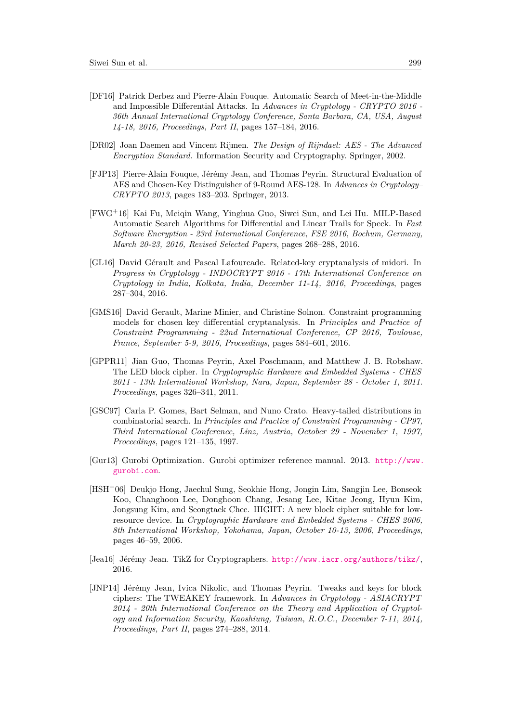- <span id="page-18-1"></span>[DF16] Patrick Derbez and Pierre-Alain Fouque. Automatic Search of Meet-in-the-Middle and Impossible Differential Attacks. In *Advances in Cryptology - CRYPTO 2016 - 36th Annual International Cryptology Conference, Santa Barbara, CA, USA, August 14-18, 2016, Proceedings, Part II*, pages 157–184, 2016.
- <span id="page-18-6"></span>[DR02] Joan Daemen and Vincent Rijmen. *The Design of Rijndael: AES - The Advanced Encryption Standard*. Information Security and Cryptography. Springer, 2002.
- <span id="page-18-0"></span>[FJP13] Pierre-Alain Fouque, Jérémy Jean, and Thomas Peyrin. Structural Evaluation of AES and Chosen-Key Distinguisher of 9-Round AES-128. In *Advances in Cryptology– CRYPTO 2013*, pages 183–203. Springer, 2013.
- <span id="page-18-2"></span>[FWG<sup>+</sup>16] Kai Fu, Meiqin Wang, Yinghua Guo, Siwei Sun, and Lei Hu. MILP-Based Automatic Search Algorithms for Differential and Linear Trails for Speck. In *Fast Software Encryption - 23rd International Conference, FSE 2016, Bochum, Germany, March 20-23, 2016, Revised Selected Papers*, pages 268–288, 2016.
- <span id="page-18-4"></span>[GL16] David Gérault and Pascal Lafourcade. Related-key cryptanalysis of midori. In *Progress in Cryptology - INDOCRYPT 2016 - 17th International Conference on Cryptology in India, Kolkata, India, December 11-14, 2016, Proceedings*, pages 287–304, 2016.
- <span id="page-18-3"></span>[GMS16] David Gerault, Marine Minier, and Christine Solnon. Constraint programming models for chosen key differential cryptanalysis. In *Principles and Practice of Constraint Programming - 22nd International Conference, CP 2016, Toulouse, France, September 5-9, 2016, Proceedings*, pages 584–601, 2016.
- <span id="page-18-5"></span>[GPPR11] Jian Guo, Thomas Peyrin, Axel Poschmann, and Matthew J. B. Robshaw. The LED block cipher. In *Cryptographic Hardware and Embedded Systems - CHES 2011 - 13th International Workshop, Nara, Japan, September 28 - October 1, 2011. Proceedings*, pages 326–341, 2011.
- <span id="page-18-9"></span>[GSC97] Carla P. Gomes, Bart Selman, and Nuno Crato. Heavy-tailed distributions in combinatorial search. In *Principles and Practice of Constraint Programming - CP97, Third International Conference, Linz, Austria, October 29 - November 1, 1997, Proceedings*, pages 121–135, 1997.
- <span id="page-18-7"></span>[Gur13] Gurobi Optimization. Gurobi optimizer reference manual. 2013. [http://www.](http://www.gurobi.com) [gurobi.com](http://www.gurobi.com).
- <span id="page-18-8"></span>[HSH<sup>+</sup>06] Deukjo Hong, Jaechul Sung, Seokhie Hong, Jongin Lim, Sangjin Lee, Bonseok Koo, Changhoon Lee, Donghoon Chang, Jesang Lee, Kitae Jeong, Hyun Kim, Jongsung Kim, and Seongtaek Chee. HIGHT: A new block cipher suitable for lowresource device. In *Cryptographic Hardware and Embedded Systems - CHES 2006, 8th International Workshop, Yokohama, Japan, October 10-13, 2006, Proceedings*, pages 46–59, 2006.
- <span id="page-18-11"></span>[Jea16] Jérémy Jean. TikZ for Cryptographers. <http://www.iacr.org/authors/tikz/>, 2016.
- <span id="page-18-10"></span>[JNP14] Jérémy Jean, Ivica Nikolic, and Thomas Peyrin. Tweaks and keys for block ciphers: The TWEAKEY framework. In *Advances in Cryptology - ASIACRYPT 2014 - 20th International Conference on the Theory and Application of Cryptology and Information Security, Kaoshiung, Taiwan, R.O.C., December 7-11, 2014, Proceedings, Part II*, pages 274–288, 2014.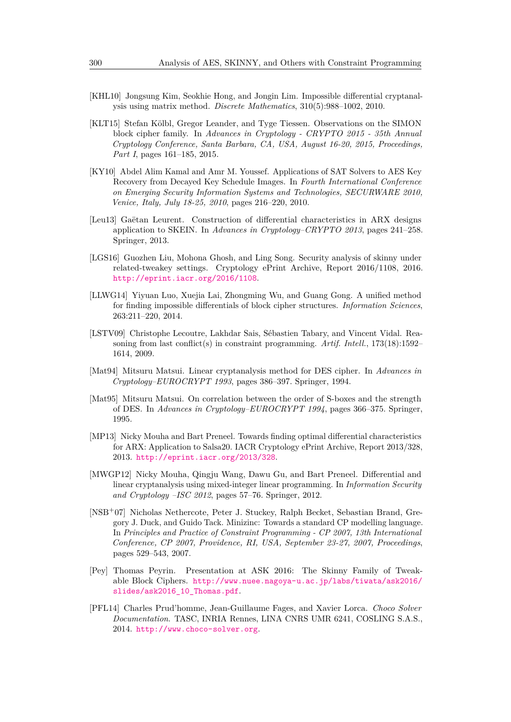- <span id="page-19-10"></span>[KHL10] Jongsung Kim, Seokhie Hong, and Jongin Lim. Impossible differential cryptanalysis using matrix method. *Discrete Mathematics*, 310(5):988–1002, 2010.
- <span id="page-19-5"></span>[KLT15] Stefan Kölbl, Gregor Leander, and Tyge Tiessen. Observations on the SIMON block cipher family. In *Advances in Cryptology - CRYPTO 2015 - 35th Annual Cryptology Conference, Santa Barbara, CA, USA, August 16-20, 2015, Proceedings, Part I*, pages 161–185, 2015.
- <span id="page-19-3"></span>[KY10] Abdel Alim Kamal and Amr M. Youssef. Applications of SAT Solvers to AES Key Recovery from Decayed Key Schedule Images. In *Fourth International Conference on Emerging Security Information Systems and Technologies, SECURWARE 2010, Venice, Italy, July 18-25, 2010*, pages 216–220, 2010.
- <span id="page-19-2"></span>[Leu13] Gaëtan Leurent. Construction of differential characteristics in ARX designs application to SKEIN. In *Advances in Cryptology–CRYPTO 2013*, pages 241–258. Springer, 2013.
- <span id="page-19-12"></span>[LGS16] Guozhen Liu, Mohona Ghosh, and Ling Song. Security analysis of skinny under related-tweakey settings. Cryptology ePrint Archive, Report 2016/1108, 2016. <http://eprint.iacr.org/2016/1108>.
- <span id="page-19-11"></span>[LLWG14] Yiyuan Luo, Xuejia Lai, Zhongming Wu, and Guang Gong. A unified method for finding impossible differentials of block cipher structures. *Information Sciences*, 263:211–220, 2014.
- <span id="page-19-13"></span>[LSTV09] Christophe Lecoutre, Lakhdar Sais, Sébastien Tabary, and Vincent Vidal. Reasoning from last conflict(s) in constraint programming. *Artif. Intell.*, 173(18):1592– 1614, 2009.
- <span id="page-19-0"></span>[Mat94] Mitsuru Matsui. Linear cryptanalysis method for DES cipher. In *Advances in Cryptology–EUROCRYPT 1993*, pages 386–397. Springer, 1994.
- <span id="page-19-1"></span>[Mat95] Mitsuru Matsui. On correlation between the order of S-boxes and the strength of DES. In *Advances in Cryptology–EUROCRYPT 1994*, pages 366–375. Springer, 1995.
- <span id="page-19-4"></span>[MP13] Nicky Mouha and Bart Preneel. Towards finding optimal differential characteristics for ARX: Application to Salsa20. IACR Cryptology ePrint Archive, Report 2013/328, 2013. <http://eprint.iacr.org/2013/328>.
- <span id="page-19-6"></span>[MWGP12] Nicky Mouha, Qingju Wang, Dawu Gu, and Bart Preneel. Differential and linear cryptanalysis using mixed-integer linear programming. In *Information Security and Cryptology –ISC 2012*, pages 57–76. Springer, 2012.
- <span id="page-19-7"></span>[NSB<sup>+</sup>07] Nicholas Nethercote, Peter J. Stuckey, Ralph Becket, Sebastian Brand, Gregory J. Duck, and Guido Tack. Minizinc: Towards a standard CP modelling language. In *Principles and Practice of Constraint Programming - CP 2007, 13th International Conference, CP 2007, Providence, RI, USA, September 23-27, 2007, Proceedings*, pages 529–543, 2007.
- <span id="page-19-9"></span>[Pey] Thomas Peyrin. Presentation at ASK 2016: The Skinny Family of Tweakable Block Ciphers. [http://www.nuee.nagoya-u.ac.jp/labs/tiwata/ask2016/](http://www.nuee.nagoya-u.ac.jp/labs/tiwata/ask2016/slides/ask2016_10_Thomas.pdf) [slides/ask2016\\_10\\_Thomas.pdf](http://www.nuee.nagoya-u.ac.jp/labs/tiwata/ask2016/slides/ask2016_10_Thomas.pdf).
- <span id="page-19-8"></span>[PFL14] Charles Prud'homme, Jean-Guillaume Fages, and Xavier Lorca. *Choco Solver Documentation*. TASC, INRIA Rennes, LINA CNRS UMR 6241, COSLING S.A.S., 2014. <http://www.choco-solver.org>.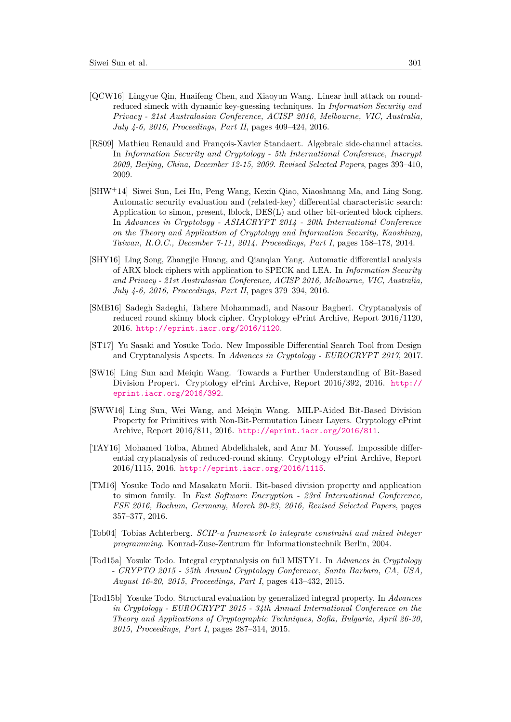- <span id="page-20-2"></span>[QCW16] Lingyue Qin, Huaifeng Chen, and Xiaoyun Wang. Linear hull attack on roundreduced simeck with dynamic key-guessing techniques. In *Information Security and Privacy - 21st Australasian Conference, ACISP 2016, Melbourne, VIC, Australia, July 4-6, 2016, Proceedings, Part II*, pages 409–424, 2016.
- <span id="page-20-1"></span>[RS09] Mathieu Renauld and François-Xavier Standaert. Algebraic side-channel attacks. In *Information Security and Cryptology - 5th International Conference, Inscrypt 2009, Beijing, China, December 12-15, 2009. Revised Selected Papers*, pages 393–410, 2009.
- <span id="page-20-4"></span>[SHW<sup>+</sup>14] Siwei Sun, Lei Hu, Peng Wang, Kexin Qiao, Xiaoshuang Ma, and Ling Song. Automatic security evaluation and (related-key) differential characteristic search: Application to simon, present, lblock, DES(L) and other bit-oriented block ciphers. In *Advances in Cryptology - ASIACRYPT 2014 - 20th International Conference on the Theory and Application of Cryptology and Information Security, Kaoshiung, Taiwan, R.O.C., December 7-11, 2014. Proceedings, Part I*, pages 158–178, 2014.
- <span id="page-20-3"></span>[SHY16] Ling Song, Zhangjie Huang, and Qianqian Yang. Automatic differential analysis of ARX block ciphers with application to SPECK and LEA. In *Information Security and Privacy - 21st Australasian Conference, ACISP 2016, Melbourne, VIC, Australia, July 4-6, 2016, Proceedings, Part II*, pages 379–394, 2016.
- <span id="page-20-11"></span>[SMB16] Sadegh Sadeghi, Tahere Mohammadi, and Nasour Bagheri. Cryptanalysis of reduced round skinny block cipher. Cryptology ePrint Archive, Report 2016/1120, 2016. <http://eprint.iacr.org/2016/1120>.
- <span id="page-20-10"></span>[ST17] Yu Sasaki and Yosuke Todo. New Impossible Differential Search Tool from Design and Cryptanalysis Aspects. In *Advances in Cryptology - EUROCRYPT 2017*, 2017.
- <span id="page-20-0"></span>[SW16] Ling Sun and Meiqin Wang. Towards a Further Understanding of Bit-Based Division Propert. Cryptology ePrint Archive, Report 2016/392, 2016. [http://](http://eprint.iacr.org/2016/392) [eprint.iacr.org/2016/392](http://eprint.iacr.org/2016/392).
- <span id="page-20-9"></span>[SWW16] Ling Sun, Wei Wang, and Meiqin Wang. MILP-Aided Bit-Based Division Property for Primitives with Non-Bit-Permutation Linear Layers. Cryptology ePrint Archive, Report 2016/811, 2016. <http://eprint.iacr.org/2016/811>.
- <span id="page-20-12"></span>[TAY16] Mohamed Tolba, Ahmed Abdelkhalek, and Amr M. Youssef. Impossible differential cryptanalysis of reduced-round skinny. Cryptology ePrint Archive, Report 2016/1115, 2016. <http://eprint.iacr.org/2016/1115>.
- <span id="page-20-8"></span>[TM16] Yosuke Todo and Masakatu Morii. Bit-based division property and application to simon family. In *Fast Software Encryption - 23rd International Conference, FSE 2016, Bochum, Germany, March 20-23, 2016, Revised Selected Papers*, pages 357–377, 2016.
- <span id="page-20-5"></span>[Tob04] Tobias Achterberg. *SCIP-a framework to integrate constraint and mixed integer programming*. Konrad-Zuse-Zentrum für Informationstechnik Berlin, 2004.
- <span id="page-20-7"></span>[Tod15a] Yosuke Todo. Integral cryptanalysis on full MISTY1. In *Advances in Cryptology - CRYPTO 2015 - 35th Annual Cryptology Conference, Santa Barbara, CA, USA, August 16-20, 2015, Proceedings, Part I*, pages 413–432, 2015.
- <span id="page-20-6"></span>[Tod15b] Yosuke Todo. Structural evaluation by generalized integral property. In *Advances in Cryptology - EUROCRYPT 2015 - 34th Annual International Conference on the Theory and Applications of Cryptographic Techniques, Sofia, Bulgaria, April 26-30, 2015, Proceedings, Part I*, pages 287–314, 2015.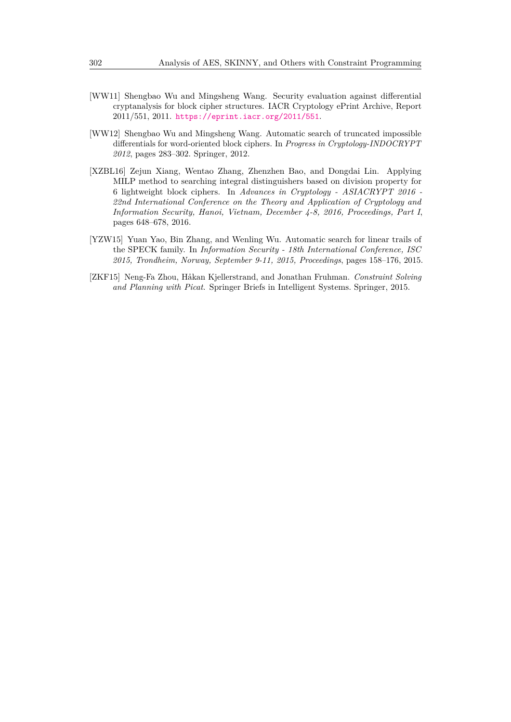- <span id="page-21-1"></span>[WW11] Shengbao Wu and Mingsheng Wang. Security evaluation against differential cryptanalysis for block cipher structures. IACR Cryptology ePrint Archive, Report 2011/551, 2011. <https://eprint.iacr.org/2011/551>.
- <span id="page-21-4"></span>[WW12] Shengbao Wu and Mingsheng Wang. Automatic search of truncated impossible differentials for word-oriented block ciphers. In *Progress in Cryptology-INDOCRYPT 2012*, pages 283–302. Springer, 2012.
- <span id="page-21-2"></span>[XZBL16] Zejun Xiang, Wentao Zhang, Zhenzhen Bao, and Dongdai Lin. Applying MILP method to searching integral distinguishers based on division property for 6 lightweight block ciphers. In *Advances in Cryptology - ASIACRYPT 2016 - 22nd International Conference on the Theory and Application of Cryptology and Information Security, Hanoi, Vietnam, December 4-8, 2016, Proceedings, Part I*, pages 648–678, 2016.
- <span id="page-21-0"></span>[YZW15] Yuan Yao, Bin Zhang, and Wenling Wu. Automatic search for linear trails of the SPECK family. In *Information Security - 18th International Conference, ISC 2015, Trondheim, Norway, September 9-11, 2015, Proceedings*, pages 158–176, 2015.
- <span id="page-21-3"></span>[ZKF15] Neng-Fa Zhou, Håkan Kjellerstrand, and Jonathan Fruhman. *Constraint Solving and Planning with Picat*. Springer Briefs in Intelligent Systems. Springer, 2015.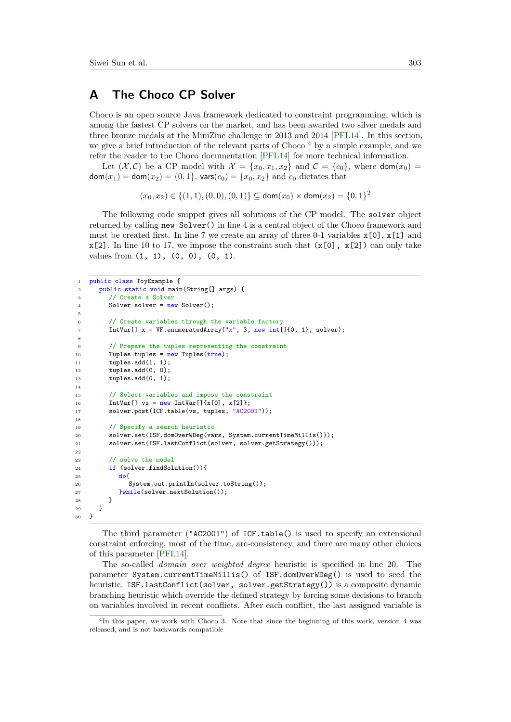# <span id="page-22-0"></span>**A The Choco CP Solver**

Choco is an open source Java framework dedicated to constraint programming, which is among the fastest CP solvers on the market, and has been awarded two silver medals and three bronze medals at the MiniZinc challenge in 2013 and 2014 [\[PFL14\]](#page-19-8). In this section, we give a brief introduction of the relevant parts of Choco<sup> $4$ </sup> by a simple example, and we refer the reader to the Choco documentation [\[PFL14\]](#page-19-8) for more technical information.

Let  $(X, \mathcal{C})$  be a CP model with  $\mathcal{X} = \{x_0, x_1, x_2\}$  and  $\mathcal{C} = \{c_0\}$ , where  $\text{dom}(x_0)$  $dom(x_1) = dom(x_2) = \{0, 1\}$ , vars $(c_0) = \{x_0, x_2\}$  and  $c_0$  dictates that

$$
(x_0, x_2) \in \{(1, 1), (0, 0), (0, 1)\} \subseteq \text{dom}(x_0) \times \text{dom}(x_2) = \{0, 1\}^2
$$

The following code snippet gives all solutions of the CP model. The solver object returned by calling new Solver() in line 4 is a central object of the Choco framework and must be created first. In line 7 we create an array of three 0-1 variables  $\mathbf{x}[0], \mathbf{x}[1]$  and  $x[2]$ . In line 10 to 17, we impose the constraint such that  $(x[0], x[2])$  can only take values from (1, 1), (0, 0), (0, 1).

```
1 public class ToyExample {
2 public static void main(String[] args) {
3 // Create a Solver
 4 Solver solver = new Solver();
5
 6 // Create variables through the variable factory
 7 IntVar[] x = VF.enumeratedArray("x", 3, new int[]{0, 1}, solver);
 8
9 // Prepare the tuples representing the constraint
10 Tuples tuples = new Tuples(true);
11 tuples.add(1, 1);
12 tuples.add(0, 0);
13 tuples.add(0, 1);
14
15 // Select variables and impose the constraint
16 IntVar[] vs = new IntVar[]\{x[0], x[2]\};17 solver.post(ICF.table(vs, tuples, "AC2001"));
18
19 // Specify a search heuristic
20 solver.set(ISF.domOverWDeg(vars, System.currentTimeMillis()));
21 solver.set(ISF.lastConflict(solver, solver.getStrategy()));
22
23 // solve the model
24 if (solver.findSolution()){
25 do{
26 System.out.println(solver.toString());
27 }while(solver.nextSolution());<br>28 }
\begin{matrix}\n 28 \\
 29\n \end{matrix}\n \quad\n \begin{matrix}\n \end{matrix}29 }
30 }
```
The third parameter ("AC2001") of ICF.table() is used to specify an extensional constraint enforcing, most of the time, arc-consistency, and there are many other choices of this parameter [\[PFL14\]](#page-19-8).

The so-called *domain over weighted degree* heuristic is specified in line 20. The parameter System.currentTimeMillis() of ISF.domOverWDeg() is used to seed the heuristic. ISF.lastConflict(solver, solver.getStrategy()) is a composite dynamic branching heuristic which override the defined strategy by forcing some decisions to branch on variables involved in recent conflicts. After each conflict, the last assigned variable is

<span id="page-22-1"></span><sup>&</sup>lt;sup>4</sup>In this paper, we work with Choco 3. Note that since the beginning of this work, version 4 was released, and is not backwards compatible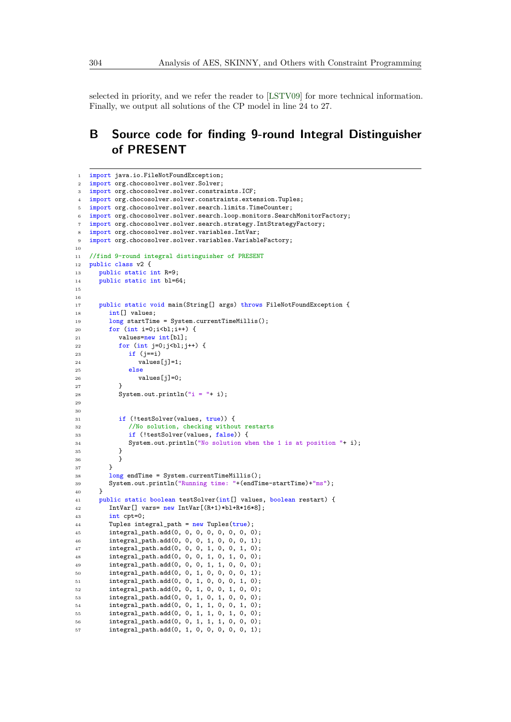selected in priority, and we refer the reader to [\[LSTV09\]](#page-19-13) for more technical information. Finally, we output all solutions of the CP model in line 24 to 27.

# **B Source code for finding 9-round Integral Distinguisher of PRESENT**

```
1 import java.io.FileNotFoundException;
2 import org.chocosolver.solver.Solver;
3 import org.chocosolver.solver.constraints.ICF;
4 import org.chocosolver.solver.constraints.extension.Tuples;
5 import org.chocosolver.solver.search.limits.TimeCounter;
6 import org.chocosolver.solver.search.loop.monitors.SearchMonitorFactory;
   import org.chocosolver.solver.search.strategy.IntStrategyFactory;
8 import org.chocosolver.solver.variables.IntVar;
9 import org.chocosolver.solver.variables.VariableFactory;
10
11 //find 9-round integral distinguisher of PRESENT
12 public class v2 {
13 public static int R=9;
14 public static int bl=64;
15
16
17 public static void main(String[] args) throws FileNotFoundException {
18 int[] values;
19 long startTime = System.currentTimeMillis();
20 for (int i=0;i<br/>kl;i++) {
21 values=new int[bl];
22 for (int j=0; j<b>l</b>; j++) {
23 if (j == i)24 values[j]=1;
25 else
26 values[j]=0;<br>
2727 }
28 System.out.println("i ="+ i);
29
30
31 if (!testSolver(values, true)) {
32 //No solution, checking without restarts
33 if (!testSolver(values, false)) {
34 System.out.println("No solution when the 1 is at position "+ i);<br>35
35 }
\begin{array}{ccc} 36 & & & \end{array}<br>37 }
37 }
38 long endTime = System.currentTimeMillis();
39 System.out.println("Running time: "+(endTime-startTime)+"ms");
40 }
41 public static boolean testSolver(int[] values, boolean restart) {
42 IntVar[] vars= new IntVar[(R+1)*bl+R*16*8];
43 int cpt=0;
44 Tuples integral_path = new Tuples(true);
45 integral_path.add(0, 0, 0, 0, 0, 0, 0, 0);
46 integral_path.add(0, 0, 0, 1, 0, 0, 0, 1);
47 integral_path.add(0, 0, 0, 1, 0, 0, 1, 0);
48 integral_path.add(0, 0, 0, 1, 0, 1, 0, 0);
49 integral_path.add(0, 0, 0, 1, 1, 0, 0, 0);
50 integral_path.add(0, 0, 1, 0, 0, 0, 0, 1);
51 integral_path.add(0, 0, 1, 0, 0, 0, 1, 0);
52 integral_path.add(0, 0, 1, 0, 0, 1, 0, 0);
53 integral_path.add(0, 0, 1, 0, 1, 0, 0, 0);
54 integral_path.add(0, 0, 1, 1, 0, 0, 1, 0);
55 integral_path.add(0, 0, 1, 1, 0, 1, 0, 0);
56 integral_path.add(0, 0, 1, 1, 1, 0, 0, 0);
57 integral_path.add(0, 1, 0, 0, 0, 0, 0, 1);
```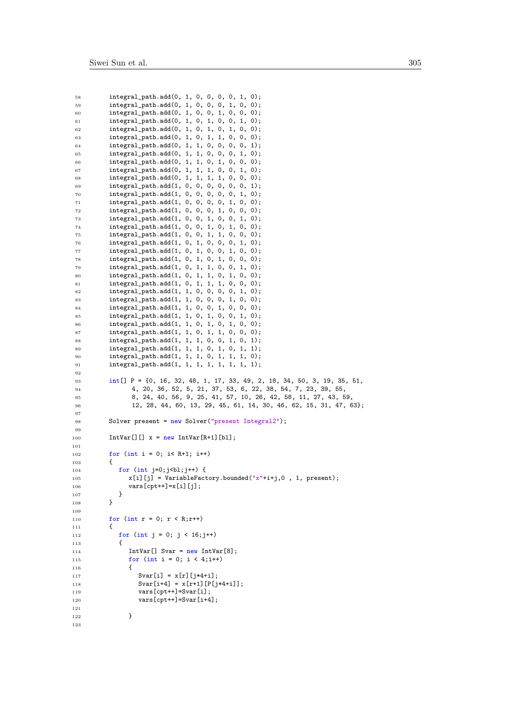| 58         | $integral$ path.add $(0, 1, 0, 0, 0, 1, 0);$                                             |
|------------|------------------------------------------------------------------------------------------|
| 59         | integral_path.add(0, 1, 0, 0, 0, 1, 0, 0);                                               |
| 60         | integral_path.add(0, 1, 0, 0, 1, 0, 0, 0);                                               |
| 61         | integral_path.add(0, 1, 0, 1, 0, 0, 1, 0);                                               |
| 62         | integral_path.add(0, 1, 0, 1, 0, 1, 0, 0);                                               |
| 63         | integral_path.add(0, 1, 0, 1, 1, 0, 0, 0);                                               |
| 64         | integral_path.add(0, 1, 1, 0, 0, 0, 0, 1);                                               |
| 65         | integral_path.add(0, 1, 1, 0, 0, 0, 1, 0);                                               |
| 66         | integral_path.add(0, 1, 1, 0, 1, 0, 0, 0);                                               |
| 67         | integral_path.add(0, 1, 1, 1, 0, 0, 1, 0);                                               |
| 68         | integral_path.add(0, 1, 1, 1, 1, 0, 0, 0);                                               |
| 69         | $integral$ <sub>path.add</sub> $(1, 0, 0, 0, 0, 0, 0, 1);$                               |
| 70         | $integral$ <sub>path.add</sub> $(1, 0, 0, 0, 0, 0, 1, 0);$                               |
| 71         | $integral$ <sub>1</sub> ath.add $(1, 0, 0, 0, 0, 1, 0, 0)$ ;                             |
| 72         | $integral$ <sub>path.add</sub> $(1, 0, 0, 0, 1, 0, 0, 0)$ ;                              |
| 73         | $integral$ <sub>1</sub> ath.add $(1, 0, 0, 1, 0, 0, 1, 0);$                              |
| 74         | $integral$ <sub>1</sub> ath.add $(1, 0, 0, 1, 0, 1, 0, 0);$                              |
| 75         | integral_path.add(1, 0, 0, 1, 1, 0, 0, 0);                                               |
| 76         | integral_path.add(1, 0, 1, 0, 0, 0, 1, 0);                                               |
| 77         | $integral$ <sub>1</sub> ath.add $(1, 0, 1, 0, 0, 1, 0, 0)$ ;                             |
| 78         | integral_path.add(1, 0, 1, 0, 1, 0, 0, 0);<br>integral_path.add(1, 0, 1, 1, 0, 0, 1, 0); |
| 79         | integral_path.add(1, 0, 1, 1, 0, 1, 0, 0);                                               |
| 80<br>81   | $integral$ <sub>path.add</sub> $(1, 0, 1, 1, 1, 0, 0, 0);$                               |
| 82         | integral_path.add(1, 1, 0, 0, 0, 0, 1, 0);                                               |
| 83         | integral_path.add(1, 1, 0, 0, 0, 1, 0, 0);                                               |
| 84         | integral_path.add(1, 1, 0, 0, 1, 0, 0, 0);                                               |
| 85         | integral_path.add(1, 1, 0, 1, 0, 0, 1, 0);                                               |
| 86         | integral_path.add(1, 1, 0, 1, 0, 1, 0, 0);                                               |
| 87         | integral_path.add(1, 1, 0, 1, 1, 0, 0, 0);                                               |
| 88         | $integral$ <sub>path.add</sub> $(1, 1, 1, 0, 0, 1, 0, 1);$                               |
| 89         | $integral$ <sub>path.add</sub> $(1, 1, 1, 0, 1, 0, 1, 1);$                               |
| 90         | integral_path.add(1, 1, 1, 0, 1, 1, 1, 0);                                               |
| 91         | integral_path.add(1, 1, 1, 1, 1, 1, 1, 1);                                               |
| 92         |                                                                                          |
| 93         | $int[]$ P = {0, 16, 32, 48, 1, 17, 33, 49, 2, 18, 34, 50, 3, 19, 35, 51,                 |
| 94         | 4, 20, 36, 52, 5, 21, 37, 53, 6, 22, 38, 54, 7, 23, 39, 55,                              |
| 95         | 8, 24, 40, 56, 9, 25, 41, 57, 10, 26, 42, 58, 11, 27, 43, 59,                            |
| 96         | 12, 28, 44, 60, 13, 29, 45, 61, 14, 30, 46, 62, 15, 31, 47, 63};                         |
| 97         |                                                                                          |
| 98         | Solver present = $new$ Solver ("present Integral2");                                     |
| 99<br>100  |                                                                                          |
|            |                                                                                          |
|            | $IntVar[]$ $x = new IntVar[R+1][b1]$ ;                                                   |
| 101        |                                                                                          |
| 102        | for $(int i = 0; i < R+1; i++)$                                                          |
| 103        | €                                                                                        |
| 104        | for $(int j=0; jl; j++)$ {                                                               |
| 105<br>106 | $x[i][j]$ = VariableFactory.bounded(" $x$ "+i+j,0, 1, present);                          |
| 107        | $vars[cpt++] = x[i][j];$<br>ł                                                            |
| 108        | }                                                                                        |
| 109        |                                                                                          |
| 110        | for $(int r = 0; r < R; r++)$                                                            |
| 111        | €                                                                                        |
| 112        | for $(int i = 0; j < 16; j++)$                                                           |
| 113        | €                                                                                        |
| 114        | $IntVar[]$ Svar = $new IntVar[8]$ ;                                                      |
| 115        | for $(int i = 0; i < 4; i++)$                                                            |
| 116        | €                                                                                        |
| 117        | Svar[i] = $x[r]$ [j*4+i];                                                                |
| 118        | Svar[i+4] = $x[r+1][P[j*4+i]]$ ;                                                         |
| 119        | $vars[cpt++] = Svar[i];$                                                                 |
| 120        | $vars[cpt+] = Svar[i+4];$                                                                |
| 121        |                                                                                          |
| 122<br>123 | }                                                                                        |